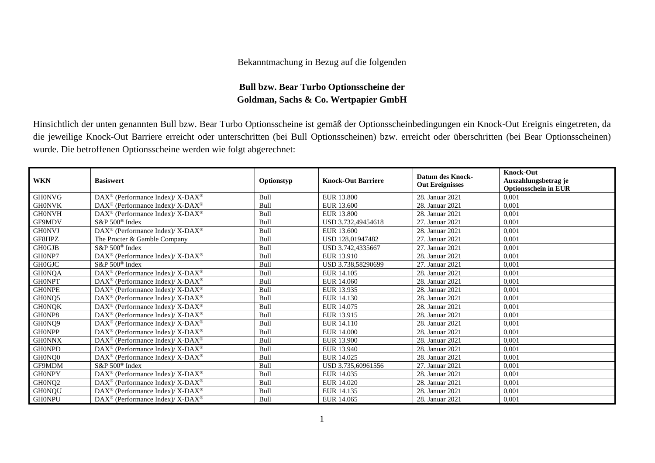## Bekanntmachung in Bezug auf die folgenden

## **Bull bzw. Bear Turbo Optionsscheine der Goldman, Sachs & Co. Wertpapier GmbH**

Hinsichtlich der unten genannten Bull bzw. Bear Turbo Optionsscheine ist gemäß der Optionsscheinbedingungen ein Knock-Out Ereignis eingetreten, da die jeweilige Knock-Out Barriere erreicht oder unterschritten (bei Bull Optionsscheinen) bzw. erreicht oder überschritten (bei Bear Optionsscheinen) wurde. Die betroffenen Optionsscheine werden wie folgt abgerechnet:

| <b>WKN</b>    | <b>Basiswert</b>                                            | Optionstyp | <b>Knock-Out Barriere</b> | <b>Datum des Knock-</b><br><b>Out Ereignisses</b> | <b>Knock-Out</b><br>Auszahlungsbetrag je<br><b>Optionsschein in EUR</b> |
|---------------|-------------------------------------------------------------|------------|---------------------------|---------------------------------------------------|-------------------------------------------------------------------------|
| <b>GH0NVG</b> | DAX <sup>®</sup> (Performance Index)/ X-DAX <sup>®</sup>    | Bull       | EUR 13.800                | 28. Januar 2021                                   | 0.001                                                                   |
| <b>GH0NVK</b> | DAX <sup>®</sup> (Performance Index)/ X-DAX <sup>®</sup>    | Bull       | EUR 13.600                | 28. Januar 2021                                   | 0,001                                                                   |
| <b>GH0NVH</b> | $DAX^{\circledcirc}$ (Performance Index)/X-DAX <sup>®</sup> | Bull       | EUR 13.800                | 28. Januar 2021                                   | 0,001                                                                   |
| GF9MDV        | S&P 500 <sup>®</sup> Index                                  | Bull       | USD 3.732,49454618        | 27. Januar 2021                                   | 0,001                                                                   |
| <b>GH0NVJ</b> | DAX <sup>®</sup> (Performance Index)/ X-DAX <sup>®</sup>    | Bull       | EUR 13.600                | 28. Januar 2021                                   | 0,001                                                                   |
| GF8HPZ        | The Procter & Gamble Company                                | Bull       | USD 128,01947482          | 27. Januar 2021                                   | 0,001                                                                   |
| <b>GHOGJB</b> | S&P 500 <sup>®</sup> Index                                  | Bull       | USD 3.742,4335667         | 27. Januar 2021                                   | 0,001                                                                   |
| GH0NP7        | $DAX^{\circledast}$ (Performance Index)/ X-DAX <sup>®</sup> | Bull       | EUR 13.910                | 28. Januar 2021                                   | 0,001                                                                   |
| <b>GH0GJC</b> | $S\&P 500^{\circ}$ Index                                    | Bull       | USD 3.738.58290699        | 27. Januar 2021                                   | 0,001                                                                   |
| <b>GH0NQA</b> | DAX <sup>®</sup> (Performance Index)/ X-DAX <sup>®</sup>    | Bull       | EUR 14.105                | 28. Januar 2021                                   | 0,001                                                                   |
| <b>GHONPT</b> | $DAX^{\circledast}$ (Performance Index)/X-DAX <sup>®</sup>  | Bull       | EUR 14.060                | 28. Januar 2021                                   | 0,001                                                                   |
| <b>GHONPE</b> | DAX <sup>®</sup> (Performance Index)/X-DAX <sup>®</sup>     | Bull       | EUR 13.935                | 28. Januar 2021                                   | 0,001                                                                   |
| GH0NQ5        | DAX <sup>®</sup> (Performance Index)/ X-DAX <sup>®</sup>    | Bull       | EUR 14.130                | 28. Januar 2021                                   | 0,001                                                                   |
| <b>GHONQK</b> | DAX <sup>®</sup> (Performance Index)/ X-DAX <sup>®</sup>    | Bull       | EUR 14.075                | 28. Januar 2021                                   | 0,001                                                                   |
| GH0NP8        | $DAX^{\circledcirc}$ (Performance Index)/X-DAX <sup>®</sup> | Bull       | EUR 13.915                | 28. Januar 2021                                   | 0,001                                                                   |
| GH0NQ9        | DAX <sup>®</sup> (Performance Index)/ X-DAX <sup>®</sup>    | Bull       | EUR 14.110                | 28. Januar 2021                                   | 0,001                                                                   |
| <b>GHONPP</b> | $DAX^{\circledast}$ (Performance Index)/ X-DAX <sup>®</sup> | Bull       | EUR 14.000                | 28. Januar 2021                                   | 0,001                                                                   |
| <b>GH0NNX</b> | $DAX^{\circledast}$ (Performance Index)/X-DAX <sup>®</sup>  | Bull       | EUR 13.900                | 28. Januar 2021                                   | 0,001                                                                   |
| <b>GH0NPD</b> | DAX <sup>®</sup> (Performance Index)/X-DAX <sup>®</sup>     | Bull       | EUR 13.940                | 28. Januar 2021                                   | 0,001                                                                   |
| GH0NQ0        | DAX <sup>®</sup> (Performance Index)/ X-DAX <sup>®</sup>    | Bull       | EUR 14.025                | 28. Januar 2021                                   | 0,001                                                                   |
| GF9MDM        | $S\&P 500^{\circ}$ Index                                    | Bull       | USD 3.735.60961556        | 27. Januar 2021                                   | 0,001                                                                   |
| <b>GHONPY</b> | DAX <sup>®</sup> (Performance Index)/ X-DAX <sup>®</sup>    | Bull       | EUR 14.035                | 28. Januar 2021                                   | 0,001                                                                   |
| GH0NQ2        | $DAX^{\circledast}$ (Performance Index)/X-DAX <sup>®</sup>  | Bull       | EUR 14.020                | 28. Januar 2021                                   | 0,001                                                                   |
| <b>GH0NQU</b> | DAX <sup>®</sup> (Performance Index)/X-DAX <sup>®</sup>     | Bull       | EUR 14.135                | 28. Januar 2021                                   | 0,001                                                                   |
| <b>GH0NPU</b> | $DAX^{\circledast}$ (Performance Index)/ X-DAX <sup>®</sup> | Bull       | EUR 14.065                | 28. Januar 2021                                   | 0,001                                                                   |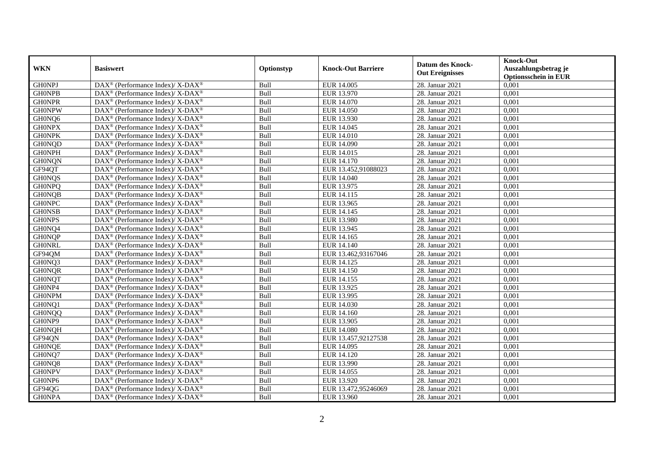|               | <b>Basiswert</b>                                                         | Optionstyp | <b>Knock-Out Barriere</b> | <b>Datum des Knock-</b><br><b>Out Ereignisses</b> | <b>Knock-Out</b>                                    |
|---------------|--------------------------------------------------------------------------|------------|---------------------------|---------------------------------------------------|-----------------------------------------------------|
| <b>WKN</b>    |                                                                          |            |                           |                                                   | Auszahlungsbetrag je<br><b>Optionsschein in EUR</b> |
| <b>GHONPJ</b> | DAX <sup>®</sup> (Performance Index)/ X-DAX <sup>®</sup>                 | Bull       | EUR 14.005                | 28. Januar 2021                                   | 0,001                                               |
| <b>GHONPB</b> | $\text{DAX}^{\circledast}$ (Performance Index)/X-DAX <sup>®</sup>        | Bull       | EUR 13.970                | 28. Januar 2021                                   | 0,001                                               |
| <b>GH0NPR</b> | $\text{DAX}^{\circledast}$ (Performance Index)/X-DAX <sup>®</sup>        | Bull       | EUR 14.070                | 28. Januar 2021                                   | 0,001                                               |
| <b>GH0NPW</b> | DAX <sup>®</sup> (Performance Index)/ X-DAX <sup>®</sup>                 | Bull       | EUR 14.050                | 28. Januar 2021                                   | 0,001                                               |
| GH0NQ6        | DAX <sup>®</sup> (Performance Index)/X-DAX <sup>®</sup>                  | Bull       | EUR 13.930                | 28. Januar 2021                                   | 0,001                                               |
| <b>GHONPX</b> | DAX <sup>®</sup> (Performance Index)/X-DAX <sup>®</sup>                  | Bull       | EUR 14.045                | 28. Januar 2021                                   | 0,001                                               |
| <b>GHONPK</b> | DAX <sup>®</sup> (Performance Index)/ X-DAX <sup>®</sup>                 | Bull       | EUR 14.010                | 28. Januar 2021                                   | 0,001                                               |
| <b>GH0NQD</b> | DAX <sup>®</sup> (Performance Index)/X-DAX <sup>®</sup>                  | Bull       | EUR 14.090                | 28. Januar 2021                                   | 0,001                                               |
| <b>GHONPH</b> | DAX <sup>®</sup> (Performance Index)/ X-DAX <sup>®</sup>                 | Bull       | EUR 14.015                | 28. Januar 2021                                   | 0,001                                               |
| <b>GH0NQN</b> | $\text{DAX}^{\circledast}$ (Performance Index)/X-DAX <sup>®</sup>        | Bull       | EUR 14.170                | 28. Januar 2021                                   | 0,001                                               |
| GF94QT        | $DAX^{\circledast}$ (Performance Index)/ X-DAX <sup>®</sup>              | Bull       | EUR 13.452,91088023       | 28. Januar 2021                                   | 0,001                                               |
| <b>GH0NQS</b> | DAX <sup>®</sup> (Performance Index)/ X-DAX <sup>®</sup>                 | Bull       | EUR 14.040                | 28. Januar 2021                                   | 0,001                                               |
| <b>GH0NPQ</b> | $DAX^{\circledast}$ (Performance Index)/ X-DAX <sup>®</sup>              | Bull       | EUR 13.975                | 28. Januar 2021                                   | 0,001                                               |
| <b>GHONQB</b> | $DAX^{\circledcirc}$ (Performance Index)/ X-DAX <sup>®</sup>             | Bull       | EUR 14.115                | 28. Januar 2021                                   | 0.001                                               |
| <b>GH0NPC</b> | DAX <sup>®</sup> (Performance Index)/ X-DAX <sup>®</sup>                 | Bull       | EUR 13.965                | 28. Januar 2021                                   | 0,001                                               |
| <b>GH0NSB</b> | DAX <sup>®</sup> (Performance Index)/X-DAX <sup>®</sup>                  | Bull       | EUR 14.145                | 28. Januar 2021                                   | 0,001                                               |
| <b>GHONPS</b> | DAX <sup>®</sup> (Performance Index)/X-DAX <sup>®</sup>                  | Bull       | EUR 13.980                | 28. Januar 2021                                   | 0,001                                               |
| GH0NQ4        | $\text{DAX}^{\circledast}$ (Performance Index)/X-DAX <sup>®</sup>        | Bull       | EUR 13.945                | 28. Januar 2021                                   | 0,001                                               |
| <b>GH0NQP</b> | $\text{DAX}^{\circledast}$ (Performance Index)/X-DAX <sup>®</sup>        | Bull       | EUR 14.165                | 28. Januar 2021                                   | 0,001                                               |
| <b>GHONRL</b> | DAX <sup>®</sup> (Performance Index)/ X-DAX <sup>®</sup>                 | Bull       | EUR 14.140                | 28. Januar 2021                                   | 0,001                                               |
| GF94QM        | DAX <sup>®</sup> (Performance Index)/ X-DAX <sup>®</sup>                 | Bull       | EUR 13.462,93167046       | 28. Januar 2021                                   | 0,001                                               |
| GH0NQ3        | DAX <sup>®</sup> (Performance Index)/ X-DAX <sup>®</sup>                 | Bull       | EUR 14.125                | 28. Januar 2021                                   | 0,001                                               |
| <b>GH0NQR</b> | DAX <sup>®</sup> (Performance Index)/X-DAX <sup>®</sup>                  | Bull       | EUR 14.150                | 28. Januar 2021                                   | 0,001                                               |
| <b>GH0NQT</b> | DAX <sup>®</sup> (Performance Index)/ X-DAX <sup>®</sup>                 | Bull       | EUR 14.155                | 28. Januar 2021                                   | 0,001                                               |
| GH0NP4        | $DAX^{\circledast}$ (Performance Index)/ X-DAX <sup>®</sup>              | Bull       | EUR 13.925                | 28. Januar 2021                                   | 0,001                                               |
| <b>GH0NPM</b> | $\text{DAX}^{\circledast}$ (Performance Index)/X-DAX <sup>®</sup>        | Bull       | EUR 13.995                | 28. Januar 2021                                   | 0,001                                               |
| GH0NQ1        | $\text{DAX}^{\circledast}$ (Performance Index)/X-DAX <sup>®</sup>        | Bull       | EUR 14.030                | 28. Januar 2021                                   | 0,001                                               |
| <b>GH0NQQ</b> | $\overline{\text{DAX}^{\otimes}}$ (Performance Index)/X-DAX <sup>®</sup> | Bull       | EUR 14.160                | 28. Januar 2021                                   | 0,001                                               |
| GH0NP9        | $\text{DAX}^{\circledast}$ (Performance Index)/X-DAX <sup>®</sup>        | Bull       | EUR 13.905                | 28. Januar 2021                                   | 0,001                                               |
| <b>GH0NQH</b> | $DAX^{\circledast}$ (Performance Index)/ X-DAX <sup>®</sup>              | Bull       | <b>EUR 14.080</b>         | 28. Januar 2021                                   | 0,001                                               |
| GF94QN        | DAX <sup>®</sup> (Performance Index)/ X-DAX <sup>®</sup>                 | Bull       | EUR 13.457,92127538       | 28. Januar 2021                                   | 0,001                                               |
| <b>GHONQE</b> | $\text{DAX}^{\circledast}$ (Performance Index)/X-DAX <sup>®</sup>        | Bull       | EUR 14.095                | 28. Januar 2021                                   | 0,001                                               |
| GH0NQ7        | $\text{DAX}^{\circledast}$ (Performance Index)/X-DAX <sup>®</sup>        | Bull       | EUR 14.120                | 28. Januar 2021                                   | 0,001                                               |
| GH0NQ8        | DAX <sup>®</sup> (Performance Index)/ X-DAX <sup>®</sup>                 | Bull       | EUR 13.990                | 28. Januar 2021                                   | 0,001                                               |
| <b>GH0NPV</b> | $DAX^{\circledast}$ (Performance Index)/ X-DAX <sup>®</sup>              | Bull       | EUR 14.055                | 28. Januar 2021                                   | 0,001                                               |
| GH0NP6        | $DAX^{\circledast}$ (Performance Index)/X-DAX <sup>®</sup>               | Bull       | EUR 13.920                | 28. Januar 2021                                   | 0,001                                               |
| GF94QG        | DAX <sup>®</sup> (Performance Index)/ X-DAX <sup>®</sup>                 | Bull       | EUR 13.472,95246069       | 28. Januar 2021                                   | 0,001                                               |
| <b>GHONPA</b> | $DAX^{\circledast}$ (Performance Index)/ X-DAX <sup>®</sup>              | Bull       | EUR 13.960                | 28. Januar 2021                                   | 0,001                                               |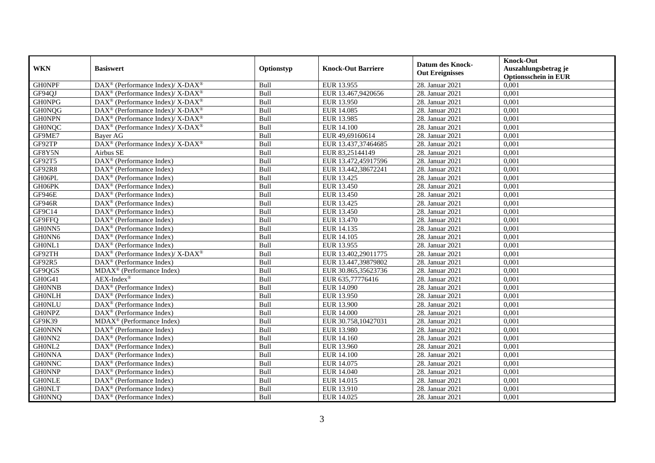| <b>WKN</b>    | <b>Basiswert</b>                                           | Optionstyp | <b>Knock-Out Barriere</b> | <b>Datum des Knock-</b> | <b>Knock-Out</b><br>Auszahlungsbetrag je |
|---------------|------------------------------------------------------------|------------|---------------------------|-------------------------|------------------------------------------|
|               |                                                            |            |                           | <b>Out Ereignisses</b>  | <b>Optionsschein in EUR</b>              |
| <b>GHONPF</b> | DAX <sup>®</sup> (Performance Index)/ X-DAX <sup>®</sup>   | Bull       | EUR 13.955                | 28. Januar 2021         | 0,001                                    |
| GF94QJ        | DAX <sup>®</sup> (Performance Index)/X-DAX <sup>®</sup>    | Bull       | EUR 13.467,9420656        | 28. Januar 2021         | 0,001                                    |
| <b>GH0NPG</b> | $DAX^{\circledast}$ (Performance Index)/X-DAX <sup>®</sup> | Bull       | EUR 13.950                | 28. Januar 2021         | 0,001                                    |
| <b>GH0NQG</b> | DAX <sup>®</sup> (Performance Index)/ X-DAX <sup>®</sup>   | Bull       | EUR 14.085                | 28. Januar 2021         | 0,001                                    |
| <b>GHONPN</b> | DAX <sup>®</sup> (Performance Index)/ X-DAX <sup>®</sup>   | Bull       | EUR 13.985                | 28. Januar 2021         | 0,001                                    |
| <b>GH0NQC</b> | DAX <sup>®</sup> (Performance Index)/X-DAX <sup>®</sup>    | Bull       | EUR 14.100                | 28. Januar 2021         | 0,001                                    |
| GF9ME7        | <b>Baver AG</b>                                            | Bull       | EUR 49,69160614           | 28. Januar 2021         | 0.001                                    |
| GF92TP        | DAX <sup>®</sup> (Performance Index)/X-DAX <sup>®</sup>    | Bull       | EUR 13.437,37464685       | 28. Januar 2021         | 0,001                                    |
| GF8Y5N        | Airbus SE                                                  | Bull       | EUR 83,25144149           | 28. Januar 2021         | 0,001                                    |
| GF92T5        | DAX <sup>®</sup> (Performance Index)                       | Bull       | EUR 13.472,45917596       | 28. Januar 2021         | 0,001                                    |
| <b>GF92R8</b> | $\overline{\text{DAX}^{\otimes}}$ (Performance Index)      | Bull       | EUR 13.442,38672241       | 28. Januar 2021         | 0,001                                    |
| GH06PL        | DAX <sup>®</sup> (Performance Index)                       | Bull       | EUR 13.425                | 28. Januar 2021         | 0,001                                    |
| GH06PK        | $DAX^{\circledast}$ (Performance Index)                    | Bull       | EUR 13.450                | 28. Januar 2021         | 0,001                                    |
| <b>GF946E</b> | $\text{DAX}^{\circledR}$ (Performance Index)               | Bull       | EUR 13.450                | 28. Januar 2021         | 0.001                                    |
| <b>GF946R</b> | DAX <sup>®</sup> (Performance Index)                       | Bull       | EUR 13.425                | 28. Januar 2021         | 0,001                                    |
| GF9C14        | DAX <sup>®</sup> (Performance Index)                       | Bull       | EUR 13.450                | 28. Januar 2021         | 0,001                                    |
| GF9FFQ        | DAX <sup>®</sup> (Performance Index)                       | Bull       | EUR 13.470                | 28. Januar 2021         | 0,001                                    |
| GH0NN5        | DAX <sup>®</sup> (Performance Index)                       | Bull       | EUR 14.135                | 28. Januar 2021         | 0,001                                    |
| GH0NN6        | $DAX^{\circledast}$ (Performance Index)                    | Bull       | EUR 14.105                | 28. Januar 2021         | 0,001                                    |
| GH0NL1        | $DAX^{\circledast}$ (Performance Index)                    | Bull       | EUR 13.955                | 28. Januar 2021         | 0,001                                    |
| GF92TH        | DAX <sup>®</sup> (Performance Index)/ X-DAX <sup>®</sup>   | Bull       | EUR 13.402,29011775       | 28. Januar 2021         | 0,001                                    |
| GF92R5        | $\overline{\text{DAX}^{\otimes}}$ (Performance Index)      | Bull       | EUR 13.447,39879802       | 28. Januar 2021         | 0,001                                    |
| GF9QGS        | $\overline{\text{MD}}$ AX <sup>®</sup> (Performance Index) | Bull       | EUR 30.865,35623736       | 28. Januar 2021         | 0,001                                    |
| GH0G41        | $AEX-Index^{\circledR}$                                    | Bull       | EUR 635,77776416          | 28. Januar 2021         | 0,001                                    |
| <b>GH0NNB</b> | $\text{DAX}^{\otimes}$ (Performance Index)                 | Bull       | EUR 14.090                | 28. Januar 2021         | 0,001                                    |
| <b>GH0NLH</b> | DAX <sup>®</sup> (Performance Index)                       | Bull       | EUR 13.950                | 28. Januar 2021         | 0,001                                    |
| <b>GH0NLU</b> | DAX <sup>®</sup> (Performance Index)                       | Bull       | <b>EUR 13.900</b>         | 28. Januar 2021         | 0,001                                    |
| <b>GH0NPZ</b> | DAX <sup>®</sup> (Performance Index)                       | Bull       | <b>EUR 14.000</b>         | 28. Januar 2021         | 0,001                                    |
| GF9K39        | $\overline{\text{MDAX}^{\circledast}$ (Performance Index)  | Bull       | EUR 30.758,10427031       | 28. Januar 2021         | 0,001                                    |
| <b>GH0NNN</b> | $\text{DAX}^{\circledast}$ (Performance Index)             | Bull       | EUR 13.980                | 28. Januar 2021         | 0,001                                    |
| GH0NN2        | DAX <sup>®</sup> (Performance Index)                       | Bull       | EUR 14.160                | 28. Januar 2021         | 0,001                                    |
| GH0NL2        | DAX <sup>®</sup> (Performance Index)                       | Bull       | EUR 13.960                | 28. Januar 2021         | 0,001                                    |
| <b>GH0NNA</b> | $DAX^{\otimes}$ (Performance Index)                        | Bull       | <b>EUR 14.100</b>         | 28. Januar 2021         | 0,001                                    |
| <b>GH0NNC</b> | $\overline{\text{DAX}}^{\textcirc}$ (Performance Index)    | Bull       | EUR 14.075                | 28. Januar 2021         | 0,001                                    |
| <b>GH0NNP</b> | $\text{DAX}^{\otimes}$ (Performance Index)                 | Bull       | EUR 14.040                | 28. Januar 2021         | 0,001                                    |
| <b>GHONLE</b> | DAX <sup>®</sup> (Performance Index)                       | Bull       | EUR 14.015                | 28. Januar 2021         | 0,001                                    |
| <b>GH0NLT</b> | $DAX^{\circledast}$ (Performance Index)                    | Bull       | EUR 13.910                | 28. Januar 2021         | 0,001                                    |
| <b>GH0NNQ</b> | $\text{DAX}^{\otimes}$ (Performance Index)                 | Bull       | EUR 14.025                | 28. Januar 2021         | 0,001                                    |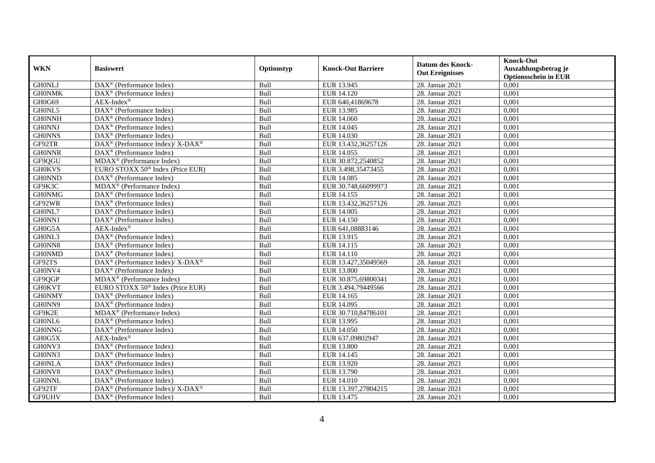| <b>WKN</b>    | <b>Basiswert</b>                                            | Optionstyp | <b>Knock-Out Barriere</b> | <b>Datum des Knock-</b><br><b>Out Ereignisses</b> | <b>Knock-Out</b>                                    |
|---------------|-------------------------------------------------------------|------------|---------------------------|---------------------------------------------------|-----------------------------------------------------|
|               |                                                             |            |                           |                                                   | Auszahlungsbetrag je<br><b>Optionsschein in EUR</b> |
| <b>GHONLJ</b> | $\overline{\text{DAX}^{\otimes}(\text{Performance Index})}$ | Bull       | EUR 13.945                | 28. Januar 2021                                   | 0,001                                               |
| <b>GHONMK</b> | $\overline{\text{DAX}^{\otimes}}$ (Performance Index)       | Bull       | EUR 14.120                | 28. Januar 2021                                   | 0,001                                               |
| GH0G69        | $AEX-Index^{\circledR}$                                     | Bull       | EUR 640,41869678          | 28. Januar 2021                                   | 0,001                                               |
| GH0NL5        | DAX <sup>®</sup> (Performance Index)                        | Bull       | EUR 13.985                | 28. Januar 2021                                   | 0,001                                               |
| <b>GH0NNH</b> | DAX <sup>®</sup> (Performance Index)                        | Bull       | EUR 14.060                | 28. Januar 2021                                   | 0,001                                               |
| <b>GH0NNJ</b> | DAX <sup>®</sup> (Performance Index)                        | Bull       | EUR 14.045                | 28. Januar 2021                                   | 0,001                                               |
| <b>GH0NNS</b> | $DAX^{\circledast}$ (Performance Index)                     | Bull       | EUR 14.030                | 28. Januar 2021                                   | 0,001                                               |
| GF92TR        | $DAX^{\circledast}$ (Performance Index)/ X-DAX <sup>®</sup> | Bull       | EUR 13.432,36257126       | 28. Januar 2021                                   | 0,001                                               |
| <b>GH0NNR</b> | DAX <sup>®</sup> (Performance Index)                        | Bull       | EUR 14.055                | 28. Januar 2021                                   | 0,001                                               |
| GF9QGU        | $MDAX^{\circledR}$ (Performance Index)                      | Bull       | EUR 30.872,2540852        | 28. Januar 2021                                   | 0,001                                               |
| <b>GH0KVS</b> | EURO STOXX 50 <sup>®</sup> Index (Price EUR)                | Bull       | EUR 3.498,35473455        | 28. Januar 2021                                   | 0,001                                               |
| <b>GH0NND</b> | DAX <sup>®</sup> (Performance Index)                        | Bull       | EUR 14.085                | 28. Januar 2021                                   | 0,001                                               |
| GF9K3C        | $\overline{\text{MDAX}}$ <sup>®</sup> (Performance Index)   | Bull       | EUR 30.748,66099973       | 28. Januar 2021                                   | 0,001                                               |
| <b>GH0NMG</b> | $DAX^{\circledcirc}$ (Performance Index)                    | Bull       | EUR 14.155                | 28. Januar 2021                                   | 0,001                                               |
| GF92WR        | $DAX^{\circledast}$ (Performance Index)                     | Bull       | EUR 13.432,36257126       | 28. Januar 2021                                   | 0,001                                               |
| GH0NL7        | $\overline{\text{DAX}^{\otimes}}$ (Performance Index)       | Bull       | EUR 14.005                | 28. Januar 2021                                   | 0,001                                               |
| GH0NN1        | DAX <sup>®</sup> (Performance Index)                        | Bull       | EUR 14.150                | 28. Januar 2021                                   | 0,001                                               |
| GH0G5A        | $AEX-Index^{\circledR}$                                     | Bull       | EUR 641,08883146          | 28. Januar 2021                                   | 0,001                                               |
| GH0NL3        | DAX <sup>®</sup> (Performance Index)                        | Bull       | EUR 13.915                | 28. Januar 2021                                   | 0,001                                               |
| GH0NN8        | DAX <sup>®</sup> (Performance Index)                        | Bull       | EUR 14.115                | 28. Januar 2021                                   | 0,001                                               |
| <b>GH0NMD</b> | $\text{DAX}^{\textcircled{}}$ (Performance Index)           | Bull       | EUR 14.110                | 28. Januar 2021                                   | 0,001                                               |
| GF92TS        | DAX <sup>®</sup> (Performance Index)/ X-DAX <sup>®</sup>    | Bull       | EUR 13.427,35049569       | 28. Januar 2021                                   | 0,001                                               |
| GH0NV4        | $DAX^{\circledR}$ (Performance Index)                       | Bull       | <b>EUR 13.800</b>         | 28. Januar 2021                                   | 0,001                                               |
| GF9QGP        | $\overline{\text{MDAX}}^{\circledR}$ (Performance Index)    | Bull       | EUR 30.875,69800341       | 28. Januar 2021                                   | 0,001                                               |
| <b>GH0KVT</b> | EURO STOXX 50 <sup>®</sup> Index (Price EUR)                | Bull       | EUR 3.494,79449566        | 28. Januar 2021                                   | 0,001                                               |
| <b>GH0NMY</b> | DAX <sup>®</sup> (Performance Index)                        | Bull       | EUR 14.165                | 28. Januar 2021                                   | 0,001                                               |
| GH0NN9        | DAX <sup>®</sup> (Performance Index)                        | Bull       | EUR 14.095                | 28. Januar 2021                                   | 0,001                                               |
| GF9K2E        | $MDAX^{\circledR}$ (Performance Index)                      | Bull       | EUR 30.710.84786101       | 28. Januar 2021                                   | 0,001                                               |
| GH0NL6        | $DAX^{\circledR}$ (Performance Index)                       | Bull       | EUR 13.995                | 28. Januar 2021                                   | 0,001                                               |
| <b>GH0NNG</b> | DAX <sup>®</sup> (Performance Index)                        | Bull       | EUR 14.050                | 28. Januar 2021                                   | 0,001                                               |
| GH0G5X        | $AEX-Index^{\circledR}$                                     | Bull       | EUR 637,09802947          | 28. Januar 2021                                   | 0,001                                               |
| GH0NV3        | DAX <sup>®</sup> (Performance Index)                        | Bull       | <b>EUR 13.800</b>         | 28. Januar 2021                                   | 0,001                                               |
| GH0NN3        | $\overline{\text{DAX}^{\otimes}}$ (Performance Index)       | Bull       | EUR 14.145                | 28. Januar 2021                                   | 0,001                                               |
| <b>GH0NLA</b> | $DAX^{\otimes}$ (Performance Index)                         | Bull       | EUR 13.920                | 28. Januar 2021                                   | 0,001                                               |
| GH0NV8        | $DAX^{\circledcirc}$ (Performance Index)                    | Bull       | EUR 13.790                | 28. Januar 2021                                   | 0,001                                               |
| <b>GH0NNL</b> | DAX <sup>®</sup> (Performance Index)                        | Bull       | EUR 14.010                | 28. Januar 2021                                   | 0,001                                               |
| GF92TF        | DAX <sup>®</sup> (Performance Index)/ X-DAX <sup>®</sup>    | Bull       | EUR 13.397,27804215       | 28. Januar 2021                                   | 0,001                                               |
| GF9UHV        | DAX <sup>®</sup> (Performance Index)                        | Bull       | EUR 13.475                | 28. Januar 2021                                   | 0,001                                               |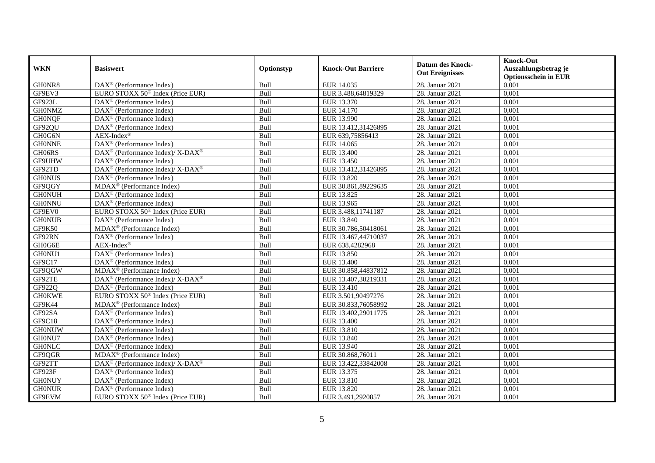|               |                                                                 |            |                           | <b>Datum des Knock-</b><br><b>Out Ereignisses</b> | <b>Knock-Out</b>                                    |
|---------------|-----------------------------------------------------------------|------------|---------------------------|---------------------------------------------------|-----------------------------------------------------|
| <b>WKN</b>    | <b>Basiswert</b>                                                | Optionstyp | <b>Knock-Out Barriere</b> |                                                   | Auszahlungsbetrag je<br><b>Optionsschein in EUR</b> |
| GH0NR8        | $\overline{\text{DAX}^{\circledast}(\text{Performance Index})}$ | Bull       | EUR 14.035                | 28. Januar 2021                                   | 0,001                                               |
| GF9EV3        | EURO STOXX 50 <sup>®</sup> Index (Price EUR)                    | Bull       | EUR 3.488,64819329        | 28. Januar 2021                                   | 0,001                                               |
| GF923L        | $DAX^{\circledR}$ (Performance Index)                           | Bull       | EUR 13.370                | 28. Januar 2021                                   | 0,001                                               |
| <b>GH0NMZ</b> | DAX <sup>®</sup> (Performance Index)                            | Bull       | EUR 14.170                | 28. Januar 2021                                   | 0,001                                               |
| <b>GH0NQF</b> | $DAX^{\circledast}$ (Performance Index)                         | Bull       | EUR 13.990                | 28. Januar 2021                                   | 0,001                                               |
| GF92QU        | $\overline{\text{DAX}^{\otimes}}$ (Performance Index)           | Bull       | EUR 13.412,31426895       | 28. Januar 2021                                   | 0,001                                               |
| GH0G6N        | $AEX-Index^{\circledR}$                                         | Bull       | EUR 639,75856413          | 28. Januar 2021                                   | 0.001                                               |
| <b>GHONNE</b> | DAX <sup>®</sup> (Performance Index)                            | Bull       | EUR 14.065                | 28. Januar 2021                                   | 0,001                                               |
| GH06RS        | DAX <sup>®</sup> (Performance Index)/ X-DAX <sup>®</sup>        | Bull       | EUR 13.400                | 28. Januar 2021                                   | 0,001                                               |
| GF9UHW        | $DAX^{\circledast}$ (Performance Index)                         | Bull       | EUR 13.450                | 28. Januar 2021                                   | 0,001                                               |
| GF92TD        | DAX <sup>®</sup> (Performance Index)/X-DAX <sup>®</sup>         | Bull       | EUR 13.412,31426895       | 28. Januar 2021                                   | 0,001                                               |
| <b>GH0NUS</b> | DAX <sup>®</sup> (Performance Index)                            | Bull       | EUR 13.820                | 28. Januar 2021                                   | 0,001                                               |
| GF9QGY        | $MDAX^{\circledR}$ (Performance Index)                          | Bull       | EUR 30.861,89229635       | 28. Januar 2021                                   | 0,001                                               |
| <b>GH0NUH</b> | $DAX^{\otimes}$ (Performance Index)                             | Bull       | EUR 13.825                | 28. Januar 2021                                   | 0,001                                               |
| <b>GH0NNU</b> | DAX <sup>®</sup> (Performance Index)                            | Bull       | EUR 13.965                | 28. Januar 2021                                   | 0,001                                               |
| GF9EV0        | EURO STOXX 50 <sup>®</sup> Index (Price EUR)                    | Bull       | EUR 3.488,11741187        | 28. Januar 2021                                   | 0,001                                               |
| <b>GH0NUB</b> | DAX <sup>®</sup> (Performance Index)                            | Bull       | EUR 13.840                | 28. Januar 2021                                   | 0,001                                               |
| GF9K50        | $\overline{\text{MDAX}}$ <sup>®</sup> (Performance Index)       | Bull       | EUR 30.786,50418061       | 28. Januar 2021                                   | 0,001                                               |
| GF92RN        | $DAX^{\circledast}$ (Performance Index)                         | Bull       | EUR 13.467,44710037       | 28. Januar 2021                                   | 0,001                                               |
| GH0G6E        | AEX-Index®                                                      | Bull       | EUR 638,4282968           | 28. Januar 2021                                   | 0,001                                               |
| GH0NU1        | DAX <sup>®</sup> (Performance Index)                            | Bull       | EUR 13.850                | 28. Januar 2021                                   | 0,001                                               |
| GF9C17        | $DAX^{\circledast}$ (Performance Index)                         | Bull       | EUR 13.400                | 28. Januar 2021                                   | 0,001                                               |
| GF9QGW        | $MDAX^{\circledR}$ (Performance Index)                          | Bull       | EUR 30.858,44837812       | 28. Januar 2021                                   | 0,001                                               |
| GF92TE        | DAX <sup>®</sup> (Performance Index)/X-DAX <sup>®</sup>         | Bull       | EUR 13.407,30219331       | 28. Januar 2021                                   | 0,001                                               |
| GF922Q        | $DAX^{\circledast}$ (Performance Index)                         | Bull       | EUR 13.410                | 28. Januar 2021                                   | 0,001                                               |
| <b>GH0KWE</b> | EURO STOXX 50 <sup>®</sup> Index (Price EUR)                    | Bull       | EUR 3.501,90497276        | 28. Januar 2021                                   | 0,001                                               |
| GF9K44        | MDAX <sup>®</sup> (Performance Index)                           | Bull       | EUR 30.833,76058992       | 28. Januar 2021                                   | 0,001                                               |
| GF92SA        | DAX <sup>®</sup> (Performance Index)                            | Bull       | EUR 13.402,29011775       | 28. Januar 2021                                   | 0,001                                               |
| GF9C18        | $DAX^{\circledast}$ (Performance Index)                         | Bull       | EUR 13.400                | 28. Januar 2021                                   | 0,001                                               |
| <b>GH0NUW</b> | $DAX^{\circledast}$ (Performance Index)                         | Bull       | EUR 13.810                | 28. Januar 2021                                   | 0,001                                               |
| GH0NU7        | DAX <sup>®</sup> (Performance Index)                            | Bull       | EUR 13.840                | 28. Januar 2021                                   | 0,001                                               |
| <b>GHONLC</b> | DAX <sup>®</sup> (Performance Index)                            | Bull       | EUR 13.940                | 28. Januar 2021                                   | 0,001                                               |
| GF9QGR        | $MDAX^{\circledR}$ (Performance Index)                          | Bull       | EUR 30.868,76011          | 28. Januar 2021                                   | 0,001                                               |
| GF92TT        | DAX <sup>®</sup> (Performance Index)/ X-DAX <sup>®</sup>        | Bull       | EUR 13.422,33842008       | 28. Januar 2021                                   | 0,001                                               |
| GF923F        | $DAX^{\circledast}$ (Performance Index)                         | Bull       | EUR 13.375                | 28. Januar 2021                                   | 0,001                                               |
| <b>GH0NUY</b> | DAX <sup>®</sup> (Performance Index)                            | Bull       | EUR 13.810                | 28. Januar 2021                                   | 0,001                                               |
| <b>GH0NUR</b> | $DAX^{\circledast}$ (Performance Index)                         | Bull       | EUR 13.820                | 28. Januar 2021                                   | 0,001                                               |
| GF9EVM        | EURO STOXX 50 <sup>®</sup> Index (Price EUR)                    | Bull       | EUR 3.491,2920857         | 28. Januar 2021                                   | 0,001                                               |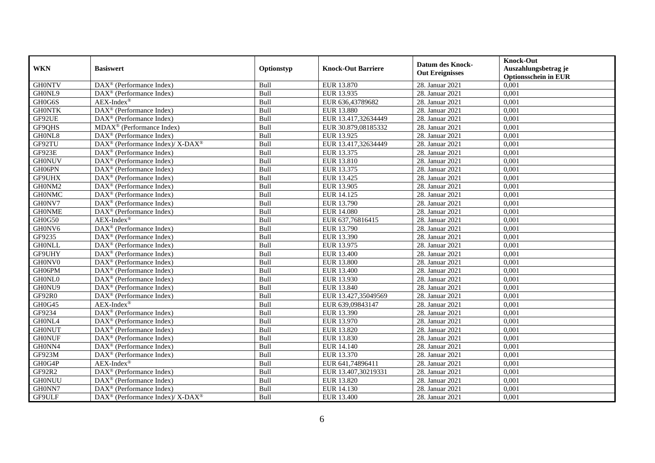| <b>WKN</b>    | <b>Basiswert</b>                                                          | Optionstyp | <b>Knock-Out Barriere</b> | <b>Datum des Knock-</b><br><b>Out Ereignisses</b> | <b>Knock-Out</b><br>Auszahlungsbetrag je<br><b>Optionsschein in EUR</b> |
|---------------|---------------------------------------------------------------------------|------------|---------------------------|---------------------------------------------------|-------------------------------------------------------------------------|
| <b>GH0NTV</b> | $\overline{\text{DAX}^{\otimes}}$ (Performance Index)                     | Bull       | EUR 13.870                | 28. Januar 2021                                   | 0,001                                                                   |
| GH0NL9        | DAX <sup>®</sup> (Performance Index)                                      | Bull       | EUR 13.935                | 28. Januar 2021                                   | 0,001                                                                   |
| GH0G6S        | $AEX-Index^{\circledR}$                                                   | Bull       | EUR 636,43789682          | 28. Januar 2021                                   | 0,001                                                                   |
| <b>GHONTK</b> | $DAX^{\circledast}$ (Performance Index)                                   | Bull       | EUR 13.880                | 28. Januar 2021                                   | 0,001                                                                   |
| GF92UE        | DAX <sup>®</sup> (Performance Index)                                      | Bull       | EUR 13.417,32634449       | 28. Januar 2021                                   | 0,001                                                                   |
| GF9QHS        | MDAX <sup>®</sup> (Performance Index)                                     | Bull       | EUR 30.879,08185332       | 28. Januar 2021                                   | 0,001                                                                   |
| GH0NL8        | DAX <sup>®</sup> (Performance Index)                                      | Bull       | EUR 13.925                | 28. Januar 2021                                   | 0,001                                                                   |
| GF92TU        | $DAX^{\circledast}$ (Performance Index)/ $\overline{X-DAX^{\circledast}}$ | Bull       | EUR 13.417,32634449       | 28. Januar 2021                                   | 0,001                                                                   |
| GF923E        | $DAX^{\otimes}$ (Performance Index)                                       | Bull       | EUR 13.375                | 28. Januar 2021                                   | 0,001                                                                   |
| <b>GH0NUV</b> | DAX <sup>®</sup> (Performance Index)                                      | Bull       | EUR 13.810                | 28. Januar 2021                                   | 0,001                                                                   |
| GH06PN        | DAX <sup>®</sup> (Performance Index)                                      | Bull       | EUR 13.375                | 28. Januar 2021                                   | 0,001                                                                   |
| GF9UHX        | $\overline{\text{DAX}^{\otimes}}$ (Performance Index)                     | Bull       | EUR 13.425                | 28. Januar 2021                                   | 0,001                                                                   |
| GH0NM2        | $DAX^{\circledast}$ (Performance Index)                                   | Bull       | EUR 13.905                | 28. Januar 2021                                   | 0,001                                                                   |
| <b>GH0NMC</b> | DAX <sup>®</sup> (Performance Index)                                      | Bull       | EUR 14.125                | 28. Januar 2021                                   | 0,001                                                                   |
| GH0NV7        | $DAX^{\circledast}$ (Performance Index)                                   | Bull       | EUR 13.790                | 28. Januar 2021                                   | 0,001                                                                   |
| <b>GH0NME</b> | DAX <sup>®</sup> (Performance Index)                                      | Bull       | <b>EUR 14.080</b>         | 28. Januar 2021                                   | 0,001                                                                   |
| <b>GH0G50</b> | $AEX-Index^{\circledR}$                                                   | Bull       | EUR 637,76816415          | 28. Januar 2021                                   | 0,001                                                                   |
| GH0NV6        | $DAX^{\circledR}$ (Performance Index)                                     | Bull       | EUR 13.790                | 28. Januar 2021                                   | 0,001                                                                   |
| GF9235        | $DAX^{\otimes}$ (Performance Index)                                       | Bull       | EUR 13.390                | 28. Januar 2021                                   | 0,001                                                                   |
| <b>GH0NLL</b> | DAX <sup>®</sup> (Performance Index)                                      | Bull       | EUR 13.975                | 28. Januar 2021                                   | 0,001                                                                   |
| GF9UHY        | DAX <sup>®</sup> (Performance Index)                                      | Bull       | EUR 13.400                | 28. Januar 2021                                   | 0,001                                                                   |
| GH0NV0        | $DAX^{\otimes}$ (Performance Index)                                       | Bull       | <b>EUR 13.800</b>         | 28. Januar 2021                                   | 0,001                                                                   |
| GH06PM        | $\overline{\text{DAX}}^{\textcirc}$ (Performance Index)                   | Bull       | EUR 13.400                | 28. Januar 2021                                   | 0,001                                                                   |
| GH0NL0        | DAX <sup>®</sup> (Performance Index)                                      | Bull       | EUR 13.930                | 28. Januar 2021                                   | 0,001                                                                   |
| GH0NU9        | DAX <sup>®</sup> (Performance Index)                                      | Bull       | EUR 13.840                | 28. Januar 2021                                   | 0,001                                                                   |
| GF92R0        | DAX <sup>®</sup> (Performance Index)                                      | Bull       | EUR 13.427,35049569       | 28. Januar 2021                                   | 0,001                                                                   |
| GH0G45        | $AEX-Index^{\circledR}$                                                   | Bull       | EUR 639,09843147          | 28. Januar 2021                                   | 0,001                                                                   |
| GF9234        | DAX <sup>®</sup> (Performance Index)                                      | Bull       | EUR 13.390                | 28. Januar 2021                                   | 0,001                                                                   |
| GH0NL4        | DAX <sup>®</sup> (Performance Index)                                      | Bull       | EUR 13.970                | 28. Januar 2021                                   | 0,001                                                                   |
| <b>GHONUT</b> | $DAX^{\otimes}$ (Performance Index)                                       | Bull       | <b>EUR 13.820</b>         | 28. Januar 2021                                   | 0,001                                                                   |
| <b>GH0NUF</b> | DAX <sup>®</sup> (Performance Index)                                      | Bull       | EUR 13.830                | 28. Januar 2021                                   | 0,001                                                                   |
| GH0NN4        | $DAX^{\circledast}$ (Performance Index)                                   | Bull       | EUR 14.140                | 28. Januar 2021                                   | 0,001                                                                   |
| GF923M        | DAX <sup>®</sup> (Performance Index)                                      | Bull       | EUR 13.370                | 28. Januar 2021                                   | 0,001                                                                   |
| GH0G4P        | $AEX-Index^{\circledR}$                                                   | Bull       | EUR 641,74896411          | 28. Januar 2021                                   | 0,001                                                                   |
| GF92R2        | DAX <sup>®</sup> (Performance Index)                                      | Bull       | EUR 13.407,30219331       | 28. Januar 2021                                   | 0,001                                                                   |
| <b>GH0NUU</b> | DAX <sup>®</sup> (Performance Index)                                      | Bull       | EUR 13.820                | 28. Januar 2021                                   | 0,001                                                                   |
| GH0NN7        | $DAX^{\circledast}$ (Performance Index)                                   | Bull       | EUR 14.130                | 28. Januar 2021                                   | 0,001                                                                   |
| GF9ULF        | $DAX^{\circledast}$ (Performance Index)/ X-DAX <sup>®</sup>               | Bull       | EUR 13.400                | 28. Januar 2021                                   | 0,001                                                                   |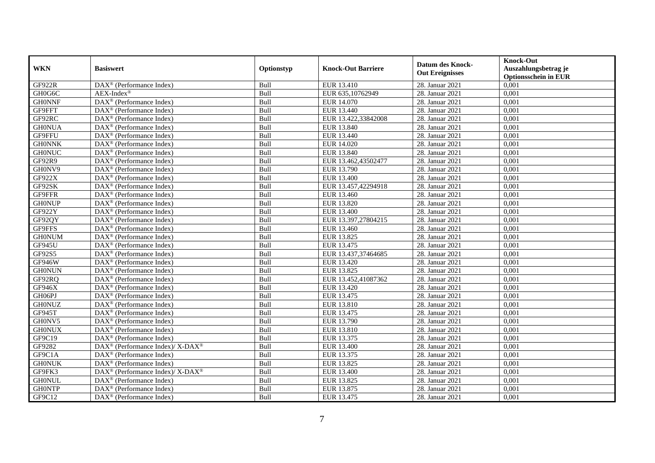| <b>WKN</b>    | <b>Basiswert</b>                                         | Optionstyp | <b>Knock-Out Barriere</b> | <b>Datum des Knock-</b><br><b>Out Ereignisses</b> | <b>Knock-Out</b><br>Auszahlungsbetrag je |
|---------------|----------------------------------------------------------|------------|---------------------------|---------------------------------------------------|------------------------------------------|
|               |                                                          |            |                           |                                                   | <b>Optionsschein in EUR</b>              |
| <b>GF922R</b> | DAX <sup>®</sup> (Performance Index)                     | Bull       | EUR 13.410                | 28. Januar 2021                                   | 0,001                                    |
| GH0G6C        | $AEX-Index^{\circledR}$                                  | Bull       | EUR 635,10762949          | 28. Januar 2021                                   | 0,001                                    |
| <b>GH0NNF</b> | DAX <sup>®</sup> (Performance Index)                     | Bull       | EUR 14.070                | 28. Januar 2021                                   | 0,001                                    |
| GF9FFT        | DAX <sup>®</sup> (Performance Index)                     | Bull       | EUR 13.440                | 28. Januar 2021                                   | 0,001                                    |
| GF92RC        | DAX <sup>®</sup> (Performance Index)                     | Bull       | EUR 13.422,33842008       | 28. Januar 2021                                   | 0,001                                    |
| <b>GH0NUA</b> | DAX <sup>®</sup> (Performance Index)                     | Bull       | EUR 13.840                | 28. Januar 2021                                   | 0,001                                    |
| GF9FFU        | $DAX^{\circledast}$ (Performance Index)                  | Bull       | EUR 13.440                | 28. Januar 2021                                   | 0,001                                    |
| <b>GH0NNK</b> | $DAX^{\circledcirc}$ (Performance Index)                 | Bull       | EUR 14.020                | 28. Januar 2021                                   | 0,001                                    |
| <b>GH0NUC</b> | $\overline{\text{DAX}^{\otimes}}$ (Performance Index)    | Bull       | EUR 13.840                | 28. Januar 2021                                   | 0,001                                    |
| GF92R9        | $DAX^{\circledR}$ (Performance Index)                    | Bull       | EUR 13.462,43502477       | 28. Januar 2021                                   | 0,001                                    |
| GH0NV9        | $\text{DAX}^{\textcircled{}}$ (Performance Index)        | Bull       | EUR 13.790                | 28. Januar 2021                                   | 0,001                                    |
| GF922X        | $\overline{\text{DAX}}^{\textcirc}$ (Performance Index)  | Bull       | EUR 13.400                | 28. Januar 2021                                   | 0,001                                    |
| GF92SK        | $\overline{\text{DAX}^{\otimes}}$ (Performance Index)    | Bull       | EUR 13.457,42294918       | 28. Januar 2021                                   | 0,001                                    |
| GF9FFR        | $DAX^{\circledcirc}$ (Performance Index)                 | Bull       | EUR 13.460                | 28. Januar 2021                                   | 0,001                                    |
| <b>GH0NUP</b> | $DAX^{\circledast}$ (Performance Index)                  | Bull       | EUR 13.820                | 28. Januar 2021                                   | 0,001                                    |
| GF922Y        | $\overline{\text{DAX}^{\otimes}}$ (Performance Index)    | Bull       | EUR 13.400                | 28. Januar 2021                                   | 0,001                                    |
| GF92QY        | DAX <sup>®</sup> (Performance Index)                     | Bull       | EUR 13.397,27804215       | 28. Januar 2021                                   | 0,001                                    |
| GF9FFS        | $DAX^{\circledR}$ (Performance Index)                    | Bull       | EUR 13.460                | 28. Januar 2021                                   | 0,001                                    |
| <b>GH0NUM</b> | DAX <sup>®</sup> (Performance Index)                     | Bull       | EUR 13.825                | 28. Januar 2021                                   | 0,001                                    |
| GF945U        | DAX <sup>®</sup> (Performance Index)                     | Bull       | EUR 13.475                | 28. Januar 2021                                   | 0,001                                    |
| GF92S5        | $\overline{\text{DAX}^{\otimes}}$ (Performance Index)    | Bull       | EUR 13.437,37464685       | 28. Januar 2021                                   | 0,001                                    |
| GF946W        | $\text{DAX}^{\textcircled{}}$ (Performance Index)        | Bull       | EUR 13.420                | 28. Januar 2021                                   | 0,001                                    |
| <b>GH0NUN</b> | $\overline{\text{DAX}^{\otimes}}$ (Performance Index)    | Bull       | EUR 13.825                | 28. Januar 2021                                   | 0,001                                    |
| GF92RQ        | $\text{DAX}^{\otimes}$ (Performance Index)               | Bull       | EUR 13.452,41087362       | 28. Januar 2021                                   | 0,001                                    |
| GF946X        | $\text{DAX}^{\otimes}$ (Performance Index)               | Bull       | EUR 13.420                | 28. Januar 2021                                   | 0,001                                    |
| GH06PJ        | DAX <sup>®</sup> (Performance Index)                     | Bull       | EUR 13.475                | 28. Januar 2021                                   | 0,001                                    |
| <b>GH0NUZ</b> | $\overline{\text{DAX}^{\otimes}}$ (Performance Index)    | Bull       | EUR 13.810                | 28. Januar 2021                                   | 0,001                                    |
| GF945T        | DAX <sup>®</sup> (Performance Index)                     | Bull       | EUR 13.475                | 28. Januar 2021                                   | 0,001                                    |
| GH0NV5        | $DAX^{\circledR}$ (Performance Index)                    | Bull       | EUR 13.790                | 28. Januar 2021                                   | 0,001                                    |
| <b>GH0NUX</b> | $DAX^{\otimes}$ (Performance Index)                      | Bull       | EUR 13.810                | 28. Januar 2021                                   | 0,001                                    |
| GF9C19        | DAX <sup>®</sup> (Performance Index)                     | Bull       | EUR 13.375                | 28. Januar 2021                                   | 0,001                                    |
| GF9282        | DAX <sup>®</sup> (Performance Index)/X-DAX <sup>®</sup>  | Bull       | <b>EUR 13.400</b>         | 28. Januar 2021                                   | 0,001                                    |
| GF9C1A        | $\overline{\text{DAX}^{\otimes}}$ (Performance Index)    | Bull       | EUR 13.375                | 28. Januar 2021                                   | 0,001                                    |
| <b>GH0NUK</b> | $DAX^{\otimes}$ (Performance Index)                      | Bull       | EUR 13.825                | 28. Januar 2021                                   | 0,001                                    |
| GF9FK3        | DAX <sup>®</sup> (Performance Index)/ X-DAX <sup>®</sup> | Bull       | EUR 13.400                | 28. Januar 2021                                   | 0,001                                    |
| <b>GH0NUL</b> | $\text{DAX}^{\otimes}$ (Performance Index)               | Bull       | EUR 13.825                | 28. Januar 2021                                   | 0,001                                    |
| <b>GHONTP</b> | DAX <sup>®</sup> (Performance Index)                     | Bull       | EUR 13.875                | 28. Januar 2021                                   | 0,001                                    |
| GF9C12        | $DAX^{\circledast}$ (Performance Index)                  | Bull       | EUR 13.475                | 28. Januar 2021                                   | 0,001                                    |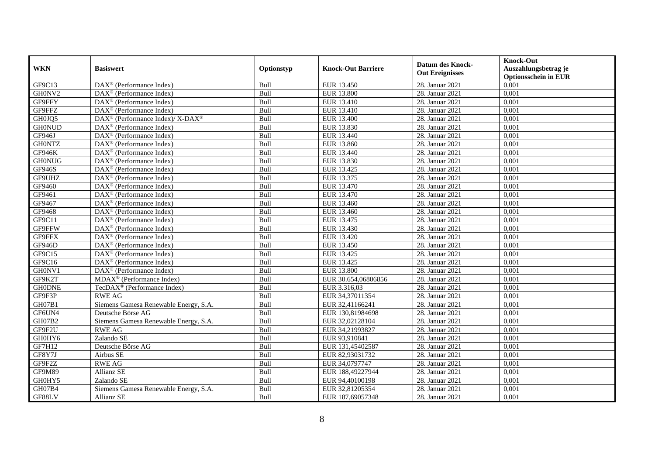|               | <b>Basiswert</b>                                        | Optionstyp |                           | <b>Datum des Knock-</b><br><b>Out Ereignisses</b> | <b>Knock-Out</b>            |
|---------------|---------------------------------------------------------|------------|---------------------------|---------------------------------------------------|-----------------------------|
| <b>WKN</b>    |                                                         |            | <b>Knock-Out Barriere</b> |                                                   | Auszahlungsbetrag je        |
|               |                                                         |            |                           |                                                   | <b>Optionsschein in EUR</b> |
| GF9C13        | DAX <sup>®</sup> (Performance Index)                    | Bull       | EUR 13.450                | 28. Januar 2021                                   | 0,001                       |
| GH0NV2        | DAX <sup>®</sup> (Performance Index)                    | Bull       | <b>EUR 13.800</b>         | 28. Januar 2021                                   | 0,001                       |
| GF9FFY        | $DAX^{\circledast}$ (Performance Index)                 | Bull       | EUR 13.410                | 28. Januar 2021                                   | 0,001                       |
| GF9FFZ        | DAX <sup>®</sup> (Performance Index)                    | Bull       | EUR 13.410                | 28. Januar 2021                                   | 0,001                       |
| GH0JQ5        | DAX <sup>®</sup> (Performance Index)/X-DAX <sup>®</sup> | Bull       | EUR 13.400                | 28. Januar 2021                                   | 0,001                       |
| <b>GH0NUD</b> | DAX <sup>®</sup> (Performance Index)                    | Bull       | <b>EUR 13.830</b>         | 28. Januar 2021                                   | 0,001                       |
| GF946J        | DAX <sup>®</sup> (Performance Index)                    | Bull       | EUR 13.440                | 28. Januar 2021                                   | 0.001                       |
| <b>GH0NTZ</b> | $\overline{\text{DAX}}^{\textcirc}$ (Performance Index) | Bull       | EUR 13.860                | 28. Januar 2021                                   | 0,001                       |
| GF946K        | DAX <sup>®</sup> (Performance Index)                    | Bull       | EUR 13.440                | 28. Januar 2021                                   | 0,001                       |
| <b>GH0NUG</b> | DAX <sup>®</sup> (Performance Index)                    | Bull       | EUR 13.830                | 28. Januar 2021                                   | 0,001                       |
| <b>GF946S</b> | $\overline{\text{DAX}^{\otimes}}$ (Performance Index)   | Bull       | EUR 13.425                | 28. Januar 2021                                   | 0,001                       |
| GF9UHZ        | DAX <sup>®</sup> (Performance Index)                    | Bull       | EUR 13.375                | 28. Januar 2021                                   | 0,001                       |
| GF9460        | DAX <sup>®</sup> (Performance Index)                    | Bull       | EUR 13.470                | 28. Januar 2021                                   | 0,001                       |
| GF9461        | DAX <sup>®</sup> (Performance Index)                    | Bull       | EUR 13.470                | 28. Januar 2021                                   | 0,001                       |
| GF9467        | DAX <sup>®</sup> (Performance Index)                    | Bull       | EUR 13.460                | 28. Januar 2021                                   | 0,001                       |
| GF9468        | DAX <sup>®</sup> (Performance Index)                    | Bull       | EUR 13.460                | 28. Januar 2021                                   | 0,001                       |
| GF9C11        | DAX <sup>®</sup> (Performance Index)                    | Bull       | EUR 13.475                | 28. Januar 2021                                   | 0,001                       |
| GF9FFW        | DAX <sup>®</sup> (Performance Index)                    | Bull       | EUR 13.430                | 28. Januar 2021                                   | 0,001                       |
| GF9FFX        | $DAX^{\circledast}$ (Performance Index)                 | Bull       | EUR 13.420                | 28. Januar 2021                                   | 0,001                       |
| GF946D        | DAX <sup>®</sup> (Performance Index)                    | Bull       | EUR 13.450                | 28. Januar 2021                                   | 0,001                       |
| GF9C15        | DAX <sup>®</sup> (Performance Index)                    | Bull       | EUR 13.425                | 28. Januar 2021                                   | 0,001                       |
| GF9C16        | $DAX^{\circledR}$ (Performance Index)                   | Bull       | EUR 13.425                | 28. Januar 2021                                   | 0,001                       |
| GH0NV1        | $DAX^{\circledR}$ (Performance Index)                   | Bull       | <b>EUR 13.800</b>         | 28. Januar 2021                                   | 0,001                       |
| GF9K2T        | MDAX <sup>®</sup> (Performance Index)                   | Bull       | EUR 30.654,06806856       | 28. Januar 2021                                   | 0,001                       |
| <b>GH0DNE</b> | TecDAX <sup>®</sup> (Performance Index)                 | Bull       | EUR 3.316,03              | 28. Januar 2021                                   | 0,001                       |
| GF9F3P        | <b>RWE AG</b>                                           | Bull       | EUR 34,37011354           | 28. Januar 2021                                   | 0,001                       |
| GH07B1        | Siemens Gamesa Renewable Energy, S.A.                   | Bull       | EUR 32,41166241           | 28. Januar 2021                                   | 0,001                       |
| GF6UN4        | Deutsche Börse AG                                       | Bull       | EUR 130,81984698          | 28. Januar 2021                                   | 0,001                       |
| GH07B2        | Siemens Gamesa Renewable Energy, S.A.                   | Bull       | EUR 32,02128104           | 28. Januar 2021                                   | 0,001                       |
| GF9F2U        | <b>RWE AG</b>                                           | Bull       | EUR 34,21993827           | 28. Januar 2021                                   | 0,001                       |
| GH0HY6        | Zalando SE                                              | Bull       | EUR 93,910841             | 28. Januar 2021                                   | 0,001                       |
| GF7H12        | Deutsche Börse AG                                       | Bull       | EUR 131,45402587          | 28. Januar 2021                                   | 0,001                       |
| GF8Y7J        | Airbus SE                                               | Bull       | EUR 82,93031732           | 28. Januar 2021                                   | 0,001                       |
| GF9F2Z        | <b>RWE AG</b>                                           | Bull       | EUR 34,0797747            | 28. Januar 2021                                   | 0,001                       |
| GF9M89        | Allianz SE                                              | Bull       | EUR 188,49227944          | 28. Januar 2021                                   | 0,001                       |
| GH0HY5        | Zalando SE                                              | Bull       | EUR 94,40100198           | 28. Januar 2021                                   | 0,001                       |
| GH07B4        | Siemens Gamesa Renewable Energy, S.A.                   | Bull       | EUR 32,81205354           | 28. Januar 2021                                   | 0,001                       |
| GF88LV        | Allianz SE                                              | Bull       | EUR 187,69057348          | 28. Januar 2021                                   | 0,001                       |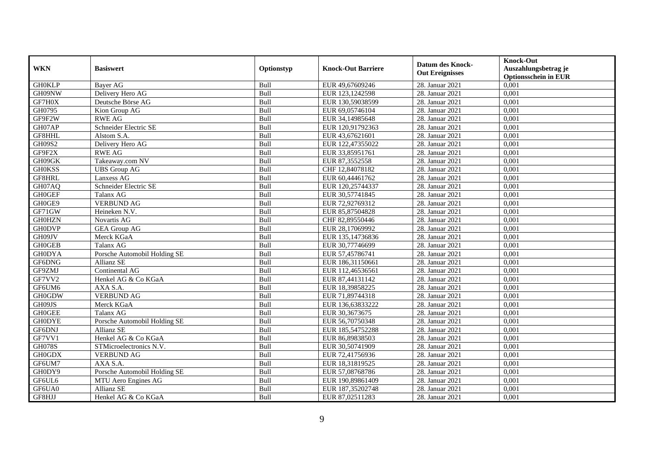| <b>WKN</b>    | <b>Basiswert</b>             | Optionstyp  | <b>Knock-Out Barriere</b> | <b>Datum des Knock-</b><br><b>Out Ereignisses</b> | <b>Knock-Out</b><br>Auszahlungsbetrag je<br><b>Optionsschein in EUR</b> |
|---------------|------------------------------|-------------|---------------------------|---------------------------------------------------|-------------------------------------------------------------------------|
| <b>GH0KLP</b> | <b>Bayer AG</b>              | Bull        | EUR 49,67609246           | 28. Januar 2021                                   | 0,001                                                                   |
| GH09NW        | Delivery Hero AG             | Bull        | EUR 123,1242598           | 28. Januar 2021                                   | 0,001                                                                   |
| GF7H0X        | Deutsche Börse AG            | Bull        | EUR 130,59038599          | 28. Januar 2021                                   | 0,001                                                                   |
| GH0795        | Kion Group AG                | Bull        | EUR 69,05746104           | 28. Januar 2021                                   | 0,001                                                                   |
| GF9F2W        | <b>RWE AG</b>                | Bull        | EUR 34,14985648           | 28. Januar 2021                                   | 0,001                                                                   |
| GH07AP        | Schneider Electric SE        | Bull        | EUR 120,91792363          | 28. Januar 2021                                   | 0,001                                                                   |
| GF8HHL        | Alstom S.A.                  | Bull        | EUR 43,67621601           | 28. Januar 2021                                   | 0,001                                                                   |
| GH09S2        | Delivery Hero AG             | Bull        | EUR 122,47355022          | 28. Januar 2021                                   | 0,001                                                                   |
| GF9F2X        | <b>RWE AG</b>                | Bull        | EUR 33,85951761           | 28. Januar 2021                                   | 0,001                                                                   |
| GH09GK        | Takeaway.com NV              | Bull        | EUR 87,3552558            | 28. Januar 2021                                   | 0,001                                                                   |
| <b>GH0KSS</b> | <b>UBS</b> Group AG          | Bull        | CHF 12,84078182           | 28. Januar 2021                                   | 0,001                                                                   |
| GF8HRL        | Lanxess AG                   | Bull        | EUR 60,44461762           | 28. Januar 2021                                   | 0,001                                                                   |
| GH07AQ        | Schneider Electric SE        | Bull        | EUR 120,25744337          | 28. Januar 2021                                   | 0,001                                                                   |
| <b>GH0GEF</b> | Talanx AG                    | Bull        | EUR 30,57741845           | 28. Januar 2021                                   | 0,001                                                                   |
| GH0GE9        | <b>VERBUND AG</b>            | Bull        | EUR 72,92769312           | 28. Januar 2021                                   | 0,001                                                                   |
| GF71GW        | Heineken N.V.                | Bull        | EUR 85,87504828           | 28. Januar 2021                                   | 0,001                                                                   |
| <b>GH0HZN</b> | Novartis AG                  | Bull        | CHF 82,89550446           | 28. Januar 2021                                   | 0,001                                                                   |
| <b>GH0DVP</b> | <b>GEA Group AG</b>          | <b>Bull</b> | EUR 28.17069992           | 28. Januar 2021                                   | 0,001                                                                   |
| GH09JV        | Merck KGaA                   | Bull        | EUR 135,14736836          | 28. Januar 2021                                   | 0,001                                                                   |
| <b>GH0GEB</b> | Talanx AG                    | Bull        | EUR 30,77746699           | 28. Januar 2021                                   | 0,001                                                                   |
| <b>GH0DYA</b> | Porsche Automobil Holding SE | Bull        | EUR 57,45786741           | 28. Januar 2021                                   | 0,001                                                                   |
| GF6DNG        | <b>Allianz SE</b>            | Bull        | EUR 186,31150661          | 28. Januar 2021                                   | 0,001                                                                   |
| GF9ZMJ        | Continental AG               | Bull        | EUR 112,46536561          | 28. Januar 2021                                   | 0,001                                                                   |
| GF7VV2        | Henkel AG & Co KGaA          | Bull        | EUR 87,44131142           | 28. Januar 2021                                   | 0,001                                                                   |
| GF6UM6        | AXA S.A.                     | Bull        | EUR 18,39858225           | 28. Januar 2021                                   | 0,001                                                                   |
| <b>GH0GDW</b> | <b>VERBUND AG</b>            | Bull        | EUR 71,89744318           | 28. Januar 2021                                   | 0,001                                                                   |
| GH09JS        | Merck KGaA                   | Bull        | EUR 136,63833222          | 28. Januar 2021                                   | 0,001                                                                   |
| <b>GH0GEE</b> | Talanx AG                    | Bull        | EUR 30,3673675            | 28. Januar 2021                                   | 0,001                                                                   |
| <b>GH0DYE</b> | Porsche Automobil Holding SE | Bull        | EUR 56,70750348           | 28. Januar 2021                                   | 0,001                                                                   |
| GF6DNJ        | <b>Allianz SE</b>            | Bull        | EUR 185,54752288          | 28. Januar 2021                                   | 0,001                                                                   |
| GF7VV1        | Henkel AG & Co KGaA          | Bull        | EUR 86,89838503           | 28. Januar 2021                                   | 0,001                                                                   |
| <b>GH078S</b> | STMicroelectronics N.V.      | Bull        | EUR 30,50741909           | 28. Januar 2021                                   | 0,001                                                                   |
| <b>GH0GDX</b> | <b>VERBUND AG</b>            | Bull        | EUR 72,41756936           | 28. Januar 2021                                   | 0,001                                                                   |
| GF6UM7        | AXA S.A.                     | Bull        | EUR 18,31819525           | 28. Januar 2021                                   | 0,001                                                                   |
| GH0DY9        | Porsche Automobil Holding SE | Bull        | EUR 57,08768786           | 28. Januar 2021                                   | 0,001                                                                   |
| GF6UL6        | MTU Aero Engines AG          | Bull        | EUR 190,89861409          | 28. Januar 2021                                   | 0,001                                                                   |
| GF6UA0        | Allianz SE                   | Bull        | EUR 187,35202748          | 28. Januar 2021                                   | 0,001                                                                   |
| GF8HJJ        | Henkel AG & Co KGaA          | Bull        | EUR 87,02511283           | 28. Januar 2021                                   | 0,001                                                                   |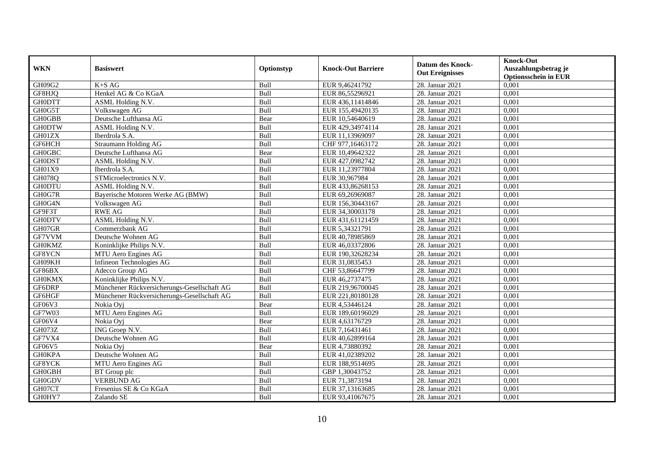|               | <b>Basiswert</b>                            |            |                           | <b>Datum des Knock-</b><br><b>Out Ereignisses</b> | <b>Knock-Out</b>            |
|---------------|---------------------------------------------|------------|---------------------------|---------------------------------------------------|-----------------------------|
| <b>WKN</b>    |                                             | Optionstyp | <b>Knock-Out Barriere</b> |                                                   | Auszahlungsbetrag je        |
|               |                                             |            |                           |                                                   | <b>Optionsschein in EUR</b> |
| GH09G2        | $K+SAG$                                     | Bull       | EUR 9,46241792            | 28. Januar 2021                                   | 0,001                       |
| GF8HJQ        | Henkel AG & Co KGaA                         | Bull       | EUR 86,55296921           | 28. Januar 2021                                   | 0,001                       |
| <b>GH0DTT</b> | ASML Holding N.V.                           | Bull       | EUR 436,11414846          | 28. Januar 2021                                   | 0,001                       |
| GH0G5T        | Volkswagen AG                               | Bull       | EUR 155,49420135          | 28. Januar 2021                                   | 0,001                       |
| <b>GH0GBB</b> | Deutsche Lufthansa AG                       | Bear       | EUR 10,54640619           | 28. Januar 2021                                   | 0,001                       |
| <b>GH0DTW</b> | ASML Holding N.V.                           | Bull       | EUR 429,34974114          | 28. Januar 2021                                   | 0,001                       |
| GH01ZX        | Iberdrola S.A.                              | Bull       | EUR 11,13969097           | 28. Januar 2021                                   | 0.001                       |
| GF6HCH        | <b>Straumann Holding AG</b>                 | Bull       | CHF 977,16463172          | 28. Januar 2021                                   | 0,001                       |
| <b>GH0GBC</b> | Deutsche Lufthansa AG                       | Bear       | EUR 10,49642322           | 28. Januar 2021                                   | 0,001                       |
| <b>GH0DST</b> | ASML Holding N.V.                           | Bull       | EUR 427,0982742           | 28. Januar 2021                                   | 0,001                       |
| GH01X9        | Iberdrola S.A.                              | Bull       | EUR 11,23977804           | 28. Januar 2021                                   | 0,001                       |
| GH078Q        | STMicroelectronics N.V.                     | Bull       | EUR 30,967984             | 28. Januar 2021                                   | 0,001                       |
| <b>GH0DTU</b> | ASML Holding N.V.                           | Bull       | EUR 433,86268153          | 28. Januar 2021                                   | 0,001                       |
| GH0G7R        | Baverische Motoren Werke AG (BMW)           | Bull       | EUR 69,26969087           | 28. Januar 2021                                   | 0.001                       |
| GH0G4N        | Volkswagen AG                               | Bull       | EUR 156,30443167          | 28. Januar 2021                                   | 0,001                       |
| GF9F3T        | <b>RWE AG</b>                               | Bull       | EUR 34,30003178           | 28. Januar 2021                                   | 0,001                       |
| <b>GH0DTV</b> | ASML Holding N.V.                           | Bull       | EUR 431,61121459          | 28. Januar 2021                                   | 0,001                       |
| GH07GR        | Commerzbank AG                              | Bull       | EUR 5,34321791            | 28. Januar 2021                                   | 0,001                       |
| GF7VVM        | Deutsche Wohnen AG                          | Bull       | EUR 40,78985869           | 28. Januar 2021                                   | 0,001                       |
| <b>GH0KMZ</b> | Koninklijke Philips N.V.                    | Bull       | EUR 46,03372806           | 28. Januar 2021                                   | 0,001                       |
| GF8YCN        | MTU Aero Engines AG                         | Bull       | EUR 190,32628234          | 28. Januar 2021                                   | 0,001                       |
| GH09KH        | Infineon Technologies AG                    | Bull       | EUR 31,0835453            | 28. Januar 2021                                   | 0,001                       |
| GF86BX        | Adecco Group AG                             | Bull       | CHF 53,86647799           | 28. Januar 2021                                   | 0,001                       |
| <b>GH0KMX</b> | Koninklijke Philips N.V.                    | Bull       | EUR 46,2737475            | 28. Januar 2021                                   | 0,001                       |
| GF6DRP        | Münchener Rückversicherungs-Gesellschaft AG | Bull       | EUR 219,96700045          | 28. Januar 2021                                   | 0,001                       |
| GF6HGF        | Münchener Rückversicherungs-Gesellschaft AG | Bull       | EUR 221,80180128          | 28. Januar 2021                                   | 0,001                       |
| GF06V3        | Nokia Oyj                                   | Bear       | EUR 4,53446124            | 28. Januar 2021                                   | 0,001                       |
| GF7W03        | MTU Aero Engines AG                         | Bull       | EUR 189,60196029          | 28. Januar 2021                                   | 0,001                       |
| GF06V4        | Nokia Ovi                                   | Bear       | EUR 4,63176729            | 28. Januar 2021                                   | 0,001                       |
| GH073Z        | ING Groep N.V.                              | Bull       | EUR 7,16431461            | 28. Januar 2021                                   | 0,001                       |
| GF7VX4        | Deutsche Wohnen AG                          | Bull       | EUR 40,62899164           | 28. Januar 2021                                   | 0,001                       |
| GF06V5        | Nokia Ovi                                   | Bear       | EUR 4,73880392            | 28. Januar 2021                                   | 0,001                       |
| <b>GH0KPA</b> | Deutsche Wohnen AG                          | Bull       | EUR 41,02389202           | 28. Januar 2021                                   | 0,001                       |
| GF8YCK        | MTU Aero Engines AG                         | Bull       | EUR 188,9514695           | 28. Januar 2021                                   | 0,001                       |
| <b>GH0GBH</b> | BT Group plc                                | Bull       | GBP 1,30043752            | 28. Januar 2021                                   | 0,001                       |
| <b>GH0GDV</b> | <b>VERBUND AG</b>                           | Bull       | EUR 71,3873194            | 28. Januar 2021                                   | 0,001                       |
| GH07CT        | Fresenius SE & Co KGaA                      | Bull       | EUR 37,13163685           | 28. Januar 2021                                   | 0,001                       |
| GH0HY7        | Zalando SE                                  | Bull       | EUR 93,41067675           | 28. Januar 2021                                   | 0,001                       |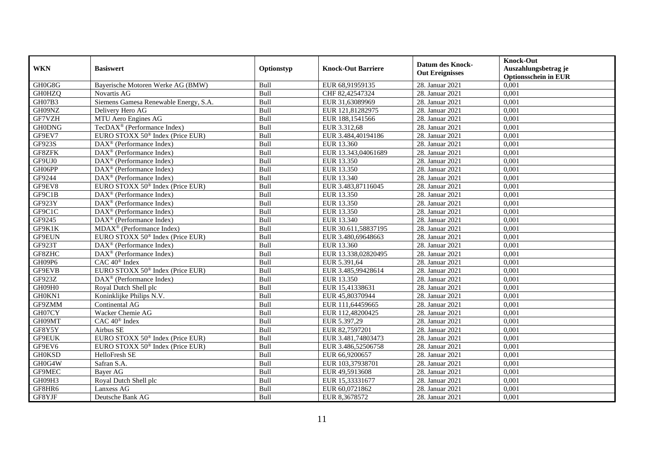| <b>WKN</b>    | <b>Basiswert</b>                                      | Optionstyp | <b>Knock-Out Barriere</b> | <b>Datum des Knock-</b><br><b>Out Ereignisses</b> | <b>Knock-Out</b><br>Auszahlungsbetrag je<br><b>Optionsschein in EUR</b> |
|---------------|-------------------------------------------------------|------------|---------------------------|---------------------------------------------------|-------------------------------------------------------------------------|
| GH0G8G        | Baverische Motoren Werke AG (BMW)                     | Bull       | EUR 68,91959135           | 28. Januar 2021                                   | 0,001                                                                   |
| <b>GH0HZQ</b> | <b>Novartis AG</b>                                    | Bull       | CHF 82,42547324           | 28. Januar 2021                                   | 0,001                                                                   |
| GH07B3        | Siemens Gamesa Renewable Energy, S.A.                 | Bull       | EUR 31,63089969           | 28. Januar 2021                                   | 0,001                                                                   |
| GH09NZ        | Delivery Hero AG                                      | Bull       | EUR 121,81282975          | 28. Januar 2021                                   | 0,001                                                                   |
| GF7VZH        | MTU Aero Engines AG                                   | Bull       | EUR 188,1541566           | 28. Januar 2021                                   | 0,001                                                                   |
| <b>GH0DNG</b> | TecDAX <sup>®</sup> (Performance Index)               | Bull       | EUR 3.312,68              | 28. Januar 2021                                   | 0,001                                                                   |
| GF9EV7        | EURO STOXX 50 <sup>®</sup> Index (Price EUR)          | Bull       | EUR 3.484,40194186        | 28. Januar 2021                                   | 0,001                                                                   |
| GF923S        | DAX <sup>®</sup> (Performance Index)                  | Bull       | EUR 13.360                | 28. Januar 2021                                   | 0,001                                                                   |
| GF8ZFK        | DAX <sup>®</sup> (Performance Index)                  | Bull       | EUR 13.343,04061689       | 28. Januar 2021                                   | 0,001                                                                   |
| GF9UJ0        | DAX <sup>®</sup> (Performance Index)                  | Bull       | EUR 13.350                | 28. Januar 2021                                   | 0,001                                                                   |
| GH06PP        | DAX <sup>®</sup> (Performance Index)                  | Bull       | EUR 13.350                | 28. Januar 2021                                   | 0,001                                                                   |
| GF9244        | $\overline{\text{DAX}^{\otimes}}$ (Performance Index) | Bull       | EUR 13.340                | 28. Januar 2021                                   | 0,001                                                                   |
| GF9EV8        | EURO STOXX 50 <sup>®</sup> Index (Price EUR)          | Bull       | EUR 3.483,87116045        | 28. Januar 2021                                   | 0,001                                                                   |
| GF9C1B        | $\text{DAX}^{\circledast}$ (Performance Index)        | Bull       | EUR 13.350                | 28. Januar 2021                                   | 0,001                                                                   |
| GF923Y        | $DAX^{\circledast}$ (Performance Index)               | Bull       | EUR 13.350                | 28. Januar 2021                                   | 0,001                                                                   |
| GF9C1C        | $DAX^{\circledast}$ (Performance Index)               | Bull       | EUR 13.350                | 28. Januar 2021                                   | 0,001                                                                   |
| GF9245        | DAX <sup>®</sup> (Performance Index)                  | Bull       | EUR 13.340                | 28. Januar 2021                                   | 0,001                                                                   |
| GF9K1K        | $MDAX^{\circledR}$ (Performance Index)                | Bull       | EUR 30.611,58837195       | 28. Januar 2021                                   | 0,001                                                                   |
| GF9EUN        | EURO STOXX 50 <sup>®</sup> Index (Price EUR)          | Bull       | EUR 3.480,69648663        | 28. Januar 2021                                   | 0,001                                                                   |
| GF923T        | $\overline{\text{DAX}^{\otimes}}$ (Performance Index) | Bull       | EUR 13.360                | 28. Januar 2021                                   | 0,001                                                                   |
| GF8ZHC        | DAX <sup>®</sup> (Performance Index)                  | Bull       | EUR 13.338,02820495       | 28. Januar 2021                                   | 0,001                                                                   |
| GH09P6        | CAC 40 <sup>®</sup> Index                             | Bull       | EUR 5.391,64              | 28. Januar 2021                                   | 0,001                                                                   |
| GF9EVB        | EURO STOXX 50 <sup>®</sup> Index (Price EUR)          | Bull       | EUR 3.485,99428614        | 28. Januar 2021                                   | 0,001                                                                   |
| GF923Z        | DAX <sup>®</sup> (Performance Index)                  | Bull       | EUR 13.350                | 28. Januar 2021                                   | 0,001                                                                   |
| GH09H0        | Royal Dutch Shell plc                                 | Bull       | EUR 15,41338631           | 28. Januar 2021                                   | 0,001                                                                   |
| GH0KN1        | Koninklijke Philips N.V.                              | Bull       | EUR 45,80370944           | 28. Januar 2021                                   | 0,001                                                                   |
| GF9ZMM        | Continental AG                                        | Bull       | EUR 111,64459665          | 28. Januar 2021                                   | 0,001                                                                   |
| GH07CY        | Wacker Chemie AG                                      | Bull       | EUR 112,48200425          | 28. Januar 2021                                   | 0,001                                                                   |
| GH09MT        | CAC 40 <sup>®</sup> Index                             | Bull       | EUR 5.397,29              | 28. Januar 2021                                   | 0,001                                                                   |
| GF8Y5Y        | Airbus SE                                             | Bull       | EUR 82,7597201            | 28. Januar 2021                                   | 0,001                                                                   |
| <b>GF9EUK</b> | EURO STOXX 50 <sup>®</sup> Index (Price EUR)          | Bull       | EUR 3.481,74803473        | 28. Januar 2021                                   | 0,001                                                                   |
| GF9EV6        | EURO STOXX 50 <sup>®</sup> Index (Price EUR)          | Bull       | EUR 3.486,52506758        | 28. Januar 2021                                   | 0,001                                                                   |
| <b>GH0KSD</b> | HelloFresh SE                                         | Bull       | EUR 66,9200657            | 28. Januar 2021                                   | 0,001                                                                   |
| GH0G4W        | Safran S.A.                                           | Bull       | EUR 103,37938701          | 28. Januar 2021                                   | 0,001                                                                   |
| GF9MEC        | Bayer AG                                              | Bull       | EUR 49,5913608            | 28. Januar 2021                                   | 0,001                                                                   |
| GH09H3        | Royal Dutch Shell plc                                 | Bull       | EUR 15,33331677           | 28. Januar 2021                                   | 0,001                                                                   |
| GF8HR6        | Lanxess AG                                            | Bull       | EUR 60,0721862            | 28. Januar 2021                                   | 0,001                                                                   |
| GF8YJF        | Deutsche Bank AG                                      | Bull       | EUR 8,3678572             | 28. Januar 2021                                   | 0,001                                                                   |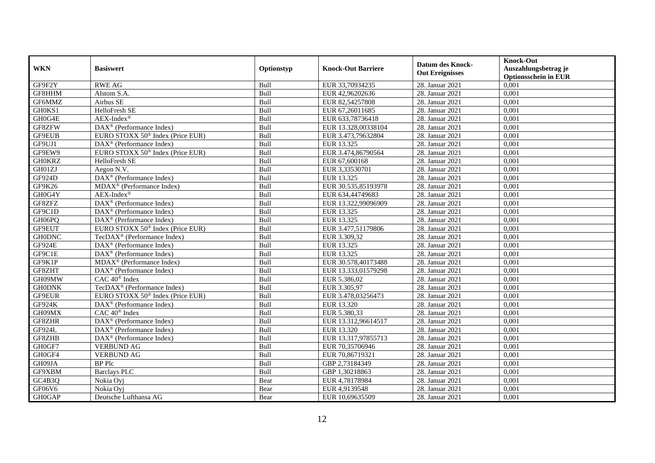|               | <b>Basiswert</b>                                             |            | <b>Knock-Out Barriere</b> | <b>Datum des Knock-</b><br><b>Out Ereignisses</b> | <b>Knock-Out</b>                                    |
|---------------|--------------------------------------------------------------|------------|---------------------------|---------------------------------------------------|-----------------------------------------------------|
| <b>WKN</b>    |                                                              | Optionstyp |                           |                                                   | Auszahlungsbetrag je<br><b>Optionsschein in EUR</b> |
| GF9F2Y        | <b>RWE AG</b>                                                | Bull       | EUR 33,70934235           | 28. Januar 2021                                   | 0,001                                               |
| GF8HHM        | Alstom S.A.                                                  | Bull       | EUR 42,96202636           | 28. Januar 2021                                   | 0,001                                               |
| GF6MMZ        | Airbus SE                                                    | Bull       | EUR 82,54257808           | 28. Januar 2021                                   | 0,001                                               |
| GH0KS1        | HelloFresh SE                                                | Bull       | EUR 67,26011685           | 28. Januar 2021                                   | 0,001                                               |
| GH0G4E        | $AEX-Index^{\circledR}$                                      | Bull       | EUR 633,78736418          | 28. Januar 2021                                   | 0,001                                               |
| GF8ZFW        | DAX <sup>®</sup> (Performance Index)                         | Bull       | EUR 13.328,00338104       | 28. Januar 2021                                   | 0,001                                               |
| <b>GF9EUB</b> | EURO STOXX 50 <sup>®</sup> Index (Price EUR)                 | Bull       | EUR 3.473,79632804        | 28. Januar 2021                                   | 0,001                                               |
| GF9UJ1        | DAX <sup>®</sup> (Performance Index)                         | Bull       | EUR 13.325                | 28. Januar 2021                                   | 0,001                                               |
| GF9EW9        | EURO STOXX 50 <sup>®</sup> Index (Price EUR)                 | Bull       | EUR 3.474,86790564        | 28. Januar 2021                                   | 0,001                                               |
| <b>GH0KRZ</b> | HelloFresh SE                                                | Bull       | EUR 67,600168             | 28. Januar 2021                                   | 0,001                                               |
| GH01ZJ        | Aegon N.V.                                                   | Bull       | EUR 3,33530701            | 28. Januar 2021                                   | 0,001                                               |
| GF924D        | DAX <sup>®</sup> (Performance Index)                         | Bull       | EUR 13.325                | 28. Januar 2021                                   | 0,001                                               |
| GF9K26        | MDAX <sup>®</sup> (Performance Index)                        | Bull       | EUR 30.535,85193978       | 28. Januar 2021                                   | 0,001                                               |
| GH0G4Y        | $AEX-Index^{\circledR}$                                      | Bull       | EUR 634,44749683          | 28. Januar 2021                                   | 0,001                                               |
| GF8ZFZ        | DAX <sup>®</sup> (Performance Index)                         | Bull       | EUR 13.322,99096909       | 28. Januar 2021                                   | 0,001                                               |
| GF9C1D        | $\overline{\text{DAX}^{\otimes}}$ (Performance Index)        | Bull       | EUR 13.325                | 28. Januar 2021                                   | 0,001                                               |
| GH06PQ        | $\overline{\text{DAX}}^{\textcirc}$ (Performance Index)      | Bull       | EUR 13.325                | 28. Januar 2021                                   | 0,001                                               |
| GF9EUT        | EURO STOXX 50 <sup>®</sup> Index (Price EUR)                 | Bull       | EUR 3.477,51179806        | 28. Januar 2021                                   | 0.001                                               |
| <b>GH0DNC</b> | TecDAX <sup>®</sup> (Performance Index)                      | Bull       | EUR 3.309,32              | 28. Januar 2021                                   | 0,001                                               |
| GF924E        | DAX <sup>®</sup> (Performance Index)                         | Bull       | EUR 13.325                | 28. Januar 2021                                   | 0,001                                               |
| GF9C1E        | $\overline{\text{DAX}^{\otimes}}$ (Performance Index)        | Bull       | EUR 13.325                | 28. Januar 2021                                   | 0,001                                               |
| GF9K1P        | MDAX <sup>®</sup> (Performance Index)                        | Bull       | EUR 30.578,40173488       | 28. Januar 2021                                   | 0,001                                               |
| GF8ZHT        | $\overline{\text{DAX}^{\otimes}}$ (Performance Index)        | Bull       | EUR 13.333,01579298       | 28. Januar 2021                                   | 0,001                                               |
| GH09MW        | $CAC 40$ <sup>®</sup> Index                                  | Bull       | EUR 5.386,02              | 28. Januar 2021                                   | 0,001                                               |
| <b>GH0DNK</b> | TecDAX <sup>®</sup> (Performance Index)                      | Bull       | EUR 3.305,97              | 28. Januar 2021                                   | 0,001                                               |
| <b>GF9EUR</b> | EURO STOXX 50 <sup>®</sup> Index (Price EUR)                 | Bull       | EUR 3.478,03256473        | 28. Januar 2021                                   | 0,001                                               |
| GF924K        | $\overline{\text{DAX}}^{\textcircled{}}$ (Performance Index) | Bull       | EUR 13.320                | 28. Januar 2021                                   | 0,001                                               |
| GH09MX        | $CAC 40$ <sup>®</sup> Index                                  | Bull       | EUR 5.380.33              | 28. Januar 2021                                   | 0,001                                               |
| GF8ZHR        | $DAX^{\circledR}$ (Performance Index)                        | Bull       | EUR 13.312,96614517       | 28. Januar 2021                                   | 0,001                                               |
| GF924L        | $DAX^{\otimes}$ (Performance Index)                          | Bull       | EUR 13.320                | 28. Januar 2021                                   | 0,001                                               |
| GF8ZHB        | DAX <sup>®</sup> (Performance Index)                         | Bull       | EUR 13.317,97855713       | 28. Januar 2021                                   | 0,001                                               |
| GH0GF7        | <b>VERBUND AG</b>                                            | Bull       | EUR 70,35706946           | 28. Januar 2021                                   | 0,001                                               |
| GH0GF4        | <b>VERBUND AG</b>                                            | Bull       | EUR 70,86719321           | 28. Januar 2021                                   | 0,001                                               |
| GH09JA        | <b>BP</b> Plc                                                | Bull       | GBP 2,73184349            | 28. Januar 2021                                   | 0,001                                               |
| GF9XBM        | <b>Barclays PLC</b>                                          | Bull       | GBP 1,30218863            | 28. Januar 2021                                   | 0,001                                               |
| GC4B3Q        | Nokia Oyj                                                    | Bear       | EUR 4,78178984            | 28. Januar 2021                                   | 0,001                                               |
| GF06V6        | Nokia Ovi                                                    | Bear       | EUR 4,9139548             | 28. Januar 2021                                   | 0,001                                               |
| <b>GH0GAP</b> | Deutsche Lufthansa AG                                        | Bear       | EUR 10,69635509           | 28. Januar 2021                                   | 0,001                                               |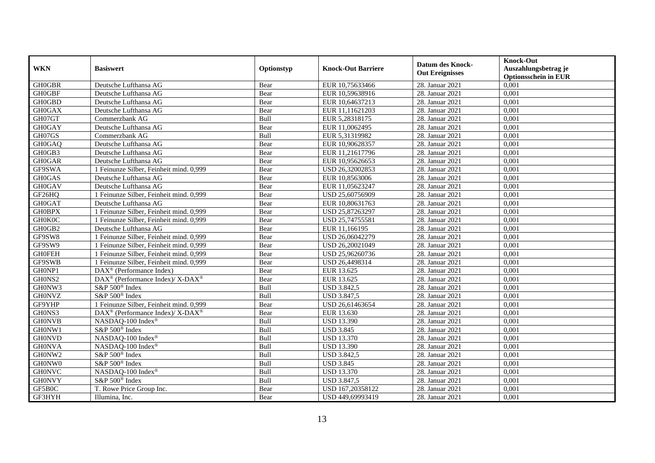| <b>WKN</b>    | <b>Basiswert</b>                                            | Optionstyp | <b>Knock-Out Barriere</b> | <b>Datum des Knock-</b><br><b>Out Ereignisses</b> | <b>Knock-Out</b><br>Auszahlungsbetrag je<br><b>Optionsschein in EUR</b> |
|---------------|-------------------------------------------------------------|------------|---------------------------|---------------------------------------------------|-------------------------------------------------------------------------|
| <b>GH0GBR</b> | Deutsche Lufthansa AG                                       | Bear       | EUR 10,75633466           | 28. Januar 2021                                   | 0,001                                                                   |
| <b>GH0GBF</b> | Deutsche Lufthansa AG                                       | Bear       | EUR 10,59638916           | 28. Januar 2021                                   | 0,001                                                                   |
| <b>GH0GBD</b> | Deutsche Lufthansa AG                                       | Bear       | EUR 10,64637213           | 28. Januar 2021                                   | 0,001                                                                   |
| <b>GH0GAX</b> | Deutsche Lufthansa AG                                       | Bear       | EUR 11,11621203           | 28. Januar 2021                                   | 0,001                                                                   |
| GH07GT        | Commerzbank AG                                              | Bull       | EUR 5,28318175            | 28. Januar 2021                                   | 0,001                                                                   |
| <b>GH0GAY</b> | Deutsche Lufthansa AG                                       | Bear       | EUR 11,0062495            | 28. Januar 2021                                   | 0,001                                                                   |
| GH07GS        | Commerzbank AG                                              | Bull       | EUR 5,31319982            | 28. Januar 2021                                   | 0,001                                                                   |
| GH0GAQ        | Deutsche Lufthansa AG                                       | Bear       | EUR 10,90628357           | 28. Januar 2021                                   | 0,001                                                                   |
| GH0GB3        | Deutsche Lufthansa AG                                       | Bear       | EUR 11,21617796           | 28. Januar 2021                                   | 0,001                                                                   |
| <b>GH0GAR</b> | Deutsche Lufthansa AG                                       | Bear       | EUR 10,95626653           | 28. Januar 2021                                   | 0,001                                                                   |
| GF9SWA        | 1 Feinunze Silber, Feinheit mind. 0,999                     | Bear       | USD 26,32002853           | 28. Januar 2021                                   | 0,001                                                                   |
| <b>GH0GAS</b> | Deutsche Lufthansa AG                                       | Bear       | EUR 10,8563006            | 28. Januar 2021                                   | 0,001                                                                   |
| <b>GH0GAV</b> | Deutsche Lufthansa AG                                       | Bear       | EUR 11,05623247           | 28. Januar 2021                                   | 0,001                                                                   |
| GF26HQ        | 1 Feinunze Silber, Feinheit mind. 0,999                     | Bear       | USD 25,60756909           | 28. Januar 2021                                   | 0,001                                                                   |
| <b>GH0GAT</b> | Deutsche Lufthansa AG                                       | Bear       | EUR 10,80631763           | 28. Januar 2021                                   | 0,001                                                                   |
| <b>GH0BPX</b> | 1 Feinunze Silber, Feinheit mind. 0,999                     | Bear       | USD 25,87263297           | 28. Januar 2021                                   | 0,001                                                                   |
| <b>GH0K0C</b> | 1 Feinunze Silber, Feinheit mind. 0,999                     | Bear       | USD 25,74755581           | 28. Januar 2021                                   | 0,001                                                                   |
| GH0GB2        | Deutsche Lufthansa AG                                       | Bear       | EUR 11.166195             | 28. Januar 2021                                   | 0,001                                                                   |
| GF9SW8        | 1 Feinunze Silber, Feinheit mind. 0,999                     | Bear       | USD 26,06042279           | 28. Januar 2021                                   | 0,001                                                                   |
| GF9SW9        | 1 Feinunze Silber, Feinheit mind. 0,999                     | Bear       | USD 26,20021049           | 28. Januar 2021                                   | 0,001                                                                   |
| <b>GH0FEH</b> | 1 Feinunze Silber, Feinheit mind. 0,999                     | Bear       | USD 25,96260736           | 28. Januar 2021                                   | 0,001                                                                   |
| GF9SWB        | 1 Feinunze Silber, Feinheit mind. 0,999                     | Bear       | USD 26,4498314            | 28. Januar 2021                                   | 0,001                                                                   |
| GH0NP1        | $\overline{\text{DAX}^{\otimes}}$ (Performance Index)       | Bear       | EUR 13.625                | 28. Januar 2021                                   | 0,001                                                                   |
| GH0NS2        | DAX <sup>®</sup> (Performance Index)/ X-DAX <sup>®</sup>    | Bear       | EUR 13.625                | 28. Januar 2021                                   | 0,001                                                                   |
| GH0NW3        | S&P 500 <sup>®</sup> Index                                  | Bull       | <b>USD 3.842,5</b>        | 28. Januar 2021                                   | 0,001                                                                   |
| <b>GH0NVZ</b> | S&P 500 <sup>®</sup> Index                                  | Bull       | <b>USD 3.847,5</b>        | 28. Januar 2021                                   | 0,001                                                                   |
| GF9YHP        | 1 Feinunze Silber, Feinheit mind. 0,999                     | Bear       | USD 26,61463654           | 28. Januar 2021                                   | 0,001                                                                   |
| GH0NS3        | $DAX^{\circledast}$ (Performance Index)/ X-DAX <sup>®</sup> | Bear       | EUR 13.630                | 28. Januar 2021                                   | 0,001                                                                   |
| <b>GH0NVB</b> | NASDAO-100 Index®                                           | Bull       | <b>USD 13.390</b>         | 28. Januar 2021                                   | 0,001                                                                   |
| GH0NW1        | S&P 500 <sup>®</sup> Index                                  | Bull       | <b>USD 3.845</b>          | 28. Januar 2021                                   | 0,001                                                                   |
| <b>GH0NVD</b> | NASDAQ-100 Index®                                           | Bull       | <b>USD 13.370</b>         | 28. Januar 2021                                   | 0,001                                                                   |
| <b>GH0NVA</b> | NASDAQ-100 Index®                                           | Bull       | <b>USD 13.390</b>         | 28. Januar 2021                                   | 0,001                                                                   |
| GH0NW2        | S&P 500 <sup>®</sup> Index                                  | Bull       | <b>USD 3.842,5</b>        | 28. Januar 2021                                   | 0,001                                                                   |
| GH0NW0        | S&P 500 <sup>®</sup> Index                                  | Bull       | <b>USD 3.845</b>          | 28. Januar 2021                                   | 0,001                                                                   |
| <b>GH0NVC</b> | NASDAQ-100 Index®                                           | Bull       | <b>USD 13.370</b>         | 28. Januar 2021                                   | 0,001                                                                   |
| <b>GH0NVY</b> | S&P 500® Index                                              | Bull       | <b>USD 3.847,5</b>        | 28. Januar 2021                                   | 0,001                                                                   |
| GF5B0C        | T. Rowe Price Group Inc.                                    | Bear       | USD 167,20358122          | 28. Januar 2021                                   | 0,001                                                                   |
| GF3HYH        | Illumina, Inc.                                              | Bear       | USD 449,69993419          | 28. Januar 2021                                   | 0,001                                                                   |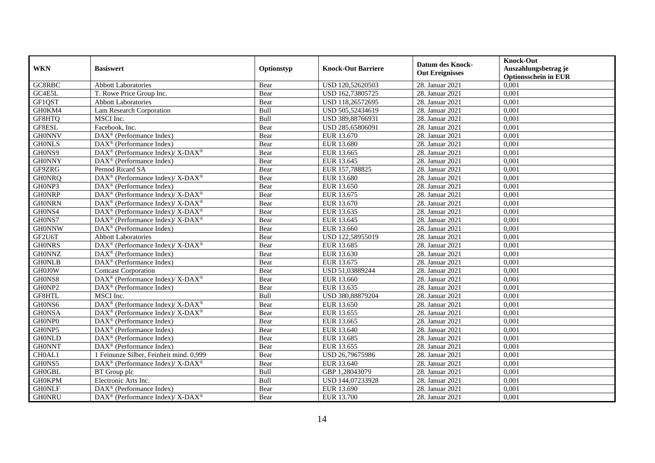| <b>WKN</b>    | <b>Basiswert</b>                                            | Optionstyp | <b>Knock-Out Barriere</b> | <b>Datum des Knock-</b><br><b>Out Ereignisses</b> | <b>Knock-Out</b><br>Auszahlungsbetrag je<br><b>Optionsschein in EUR</b> |
|---------------|-------------------------------------------------------------|------------|---------------------------|---------------------------------------------------|-------------------------------------------------------------------------|
| GC8RBC        | <b>Abbott Laboratories</b>                                  | Bear       | USD 120,52620503          | 28. Januar 2021                                   | 0,001                                                                   |
| GC4E5L        | T. Rowe Price Group Inc.                                    | Bear       | USD 162,73805725          | 28. Januar 2021                                   | 0,001                                                                   |
| GF1QST        | <b>Abbott Laboratories</b>                                  | Bear       | USD 118,26572695          | 28. Januar 2021                                   | 0,001                                                                   |
| GH0KM4        | Lam Research Corporation                                    | Bull       | USD 505,52434619          | 28. Januar 2021                                   | 0,001                                                                   |
| GF8HTQ        | MSCI Inc.                                                   | Bull       | USD 389,88766931          | 28. Januar 2021                                   | 0,001                                                                   |
| GF8ESL        | Facebook, Inc.                                              | Bear       | USD 285,65806091          | 28. Januar 2021                                   | 0,001                                                                   |
| <b>GH0NNV</b> | DAX <sup>®</sup> (Performance Index)                        | Bear       | EUR 13.670                | 28. Januar 2021                                   | 0,001                                                                   |
| <b>GHONLS</b> | $DAX^{\circledast}$ (Performance Index)                     | Bear       | EUR 13.680                | 28. Januar 2021                                   | 0,001                                                                   |
| GH0NS9        | DAX <sup>®</sup> (Performance Index)/X-DAX <sup>®</sup>     | Bear       | EUR 13.665                | 28. Januar 2021                                   | 0,001                                                                   |
| <b>GH0NNY</b> | $DAX^{\circledast}$ (Performance Index)                     | Bear       | EUR 13.645                | 28. Januar 2021                                   | 0,001                                                                   |
| GF9ZRG        | Pernod Ricard SA                                            | Bear       | EUR 157,788825            | 28. Januar 2021                                   | 0,001                                                                   |
| <b>GHONRQ</b> | DAX <sup>®</sup> (Performance Index)/ X-DAX <sup>®</sup>    | Bear       | EUR 13.680                | 28. Januar 2021                                   | 0,001                                                                   |
| GH0NP3        | $DAX^{\circledast}$ (Performance Index)                     | Bear       | EUR 13.650                | 28. Januar 2021                                   | 0,001                                                                   |
| <b>GH0NRP</b> | DAX <sup>®</sup> (Performance Index)/ X-DAX <sup>®</sup>    | Bear       | EUR 13.675                | 28. Januar 2021                                   | 0,001                                                                   |
| <b>GH0NRN</b> | DAX <sup>®</sup> (Performance Index)/X-DAX <sup>®</sup>     | Bear       | EUR 13.670                | 28. Januar 2021                                   | 0,001                                                                   |
| GH0NS4        | DAX <sup>®</sup> (Performance Index)/ X-DAX <sup>®</sup>    | Bear       | EUR 13.635                | 28. Januar 2021                                   | 0,001                                                                   |
| GH0NS7        | DAX <sup>®</sup> (Performance Index)/X-DAX <sup>®</sup>     | Bear       | EUR 13.645                | 28. Januar 2021                                   | 0,001                                                                   |
| <b>GH0NNW</b> | $DAX^{\circledast}$ (Performance Index)                     | Bear       | EUR 13.660                | 28. Januar 2021                                   | 0,001                                                                   |
| GF2U6T        | <b>Abbott Laboratories</b>                                  | Bear       | USD 122,58955019          | 28. Januar 2021                                   | 0,001                                                                   |
| <b>GHONRS</b> | DAX <sup>®</sup> (Performance Index)/ X-DAX <sup>®</sup>    | Bear       | EUR 13.685                | 28. Januar 2021                                   | 0,001                                                                   |
| <b>GHONNZ</b> | $DAX^{\circledast}$ (Performance Index)                     | Bear       | EUR 13.630                | 28. Januar 2021                                   | 0,001                                                                   |
| <b>GHONLB</b> | $\overline{\text{DAX}^{\otimes}}$ (Performance Index)       | Bear       | EUR 13.675                | 28. Januar 2021                                   | 0,001                                                                   |
| <b>GH0J0W</b> | <b>Comcast Corporation</b>                                  | Bear       | USD 51,03889244           | 28. Januar 2021                                   | 0,001                                                                   |
| GH0NS8        | DAX <sup>®</sup> (Performance Index)/X-DAX <sup>®</sup>     | Bear       | EUR 13.660                | 28. Januar 2021                                   | 0,001                                                                   |
| GH0NP2        | $\overline{\text{DAX}^{\otimes}}$ (Performance Index)       | Bear       | EUR 13.635                | 28. Januar 2021                                   | 0,001                                                                   |
| GF8HTL        | MSCI Inc.                                                   | Bull       | USD 380,88879204          | 28. Januar 2021                                   | 0,001                                                                   |
| GH0NS6        | DAX <sup>®</sup> (Performance Index)/X-DAX <sup>®</sup>     | Bear       | EUR 13.650                | 28. Januar 2021                                   | 0,001                                                                   |
| <b>GH0NSA</b> | $DAX^{\circledast}$ (Performance Index)/ X-DAX <sup>®</sup> | Bear       | EUR 13.655                | 28. Januar 2021                                   | 0,001                                                                   |
| GH0NP0        | $DAX^{\circledast}$ (Performance Index)                     | Bear       | EUR 13.665                | 28. Januar 2021                                   | 0,001                                                                   |
| GH0NP5        | $\overline{\text{DAX}^{\otimes}}$ (Performance Index)       | Bear       | EUR 13.640                | 28. Januar 2021                                   | 0,001                                                                   |
| <b>GHONLD</b> | $DAX^{\circledast}$ (Performance Index)                     | Bear       | EUR 13.685                | 28. Januar 2021                                   | 0,001                                                                   |
| <b>GH0NNT</b> | DAX <sup>®</sup> (Performance Index)                        | Bear       | EUR 13.655                | 28. Januar 2021                                   | 0,001                                                                   |
| CH0AL1        | 1 Feinunze Silber, Feinheit mind. 0,999                     | Bear       | USD 26,79675986           | 28. Januar 2021                                   | 0,001                                                                   |
| GH0NS5        | DAX <sup>®</sup> (Performance Index)/ X-DAX <sup>®</sup>    | Bear       | EUR 13.640                | 28. Januar 2021                                   | 0,001                                                                   |
| <b>GH0GBL</b> | BT Group plc                                                | Bull       | GBP 1,28043079            | 28. Januar 2021                                   | 0,001                                                                   |
| <b>GH0KPM</b> | Electronic Arts Inc.                                        | Bull       | USD 144,07233928          | 28. Januar 2021                                   | 0,001                                                                   |
| <b>GHONLF</b> | DAX <sup>®</sup> (Performance Index)                        | Bear       | EUR 13.690                | 28. Januar 2021                                   | 0,001                                                                   |
| <b>GH0NRU</b> | $DAX^{\circledast}$ (Performance Index)/ X-DAX <sup>®</sup> | Bear       | EUR 13.700                | 28. Januar 2021                                   | 0,001                                                                   |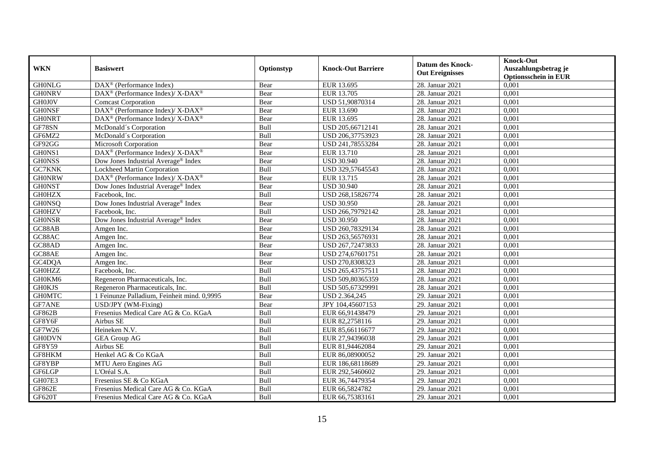|               |                                                                    |            |                           | <b>Datum des Knock-</b> | <b>Knock-Out</b>            |
|---------------|--------------------------------------------------------------------|------------|---------------------------|-------------------------|-----------------------------|
| <b>WKN</b>    | <b>Basiswert</b>                                                   | Optionstyp | <b>Knock-Out Barriere</b> | <b>Out Ereignisses</b>  | Auszahlungsbetrag je        |
|               |                                                                    |            |                           |                         | <b>Optionsschein in EUR</b> |
| <b>GH0NLG</b> | DAX <sup>®</sup> (Performance Index)                               | Bear       | EUR 13.695                | 28. Januar 2021         | 0,001                       |
| <b>GH0NRV</b> | DAX <sup>®</sup> (Performance Index)/X-DAX <sup>®</sup>            | Bear       | EUR 13.705                | 28. Januar 2021         | 0,001                       |
| GH0J0V        | <b>Comcast Corporation</b>                                         | Bear       | USD 51,90870314           | 28. Januar 2021         | 0,001                       |
| <b>GHONSF</b> | DAX <sup>®</sup> (Performance Index)/ X-DAX <sup>®</sup>           | Bear       | EUR 13.690                | 28. Januar 2021         | 0,001                       |
| <b>GHONRT</b> | $\text{DAX}^{\circledast}$ (Performance Index)/ X-DAX <sup>®</sup> | Bear       | EUR 13.695                | 28. Januar 2021         | 0,001                       |
| GF78SN        | McDonald's Corporation                                             | Bull       | USD 205,66712141          | 28. Januar 2021         | 0,001                       |
| GF6MZ2        | McDonald's Corporation                                             | Bull       | USD 206,37753923          | 28. Januar 2021         | 0.001                       |
| GF92GG        | Microsoft Corporation                                              | Bear       | USD 241,78553284          | 28. Januar 2021         | 0,001                       |
| GH0NS1        | DAX <sup>®</sup> (Performance Index)/ X-DAX <sup>®</sup>           | Bear       | EUR 13.710                | 28. Januar 2021         | 0,001                       |
| <b>GHONSS</b> | Dow Jones Industrial Average® Index                                | Bear       | <b>USD 30.940</b>         | 28. Januar 2021         | 0,001                       |
| <b>GC7KNK</b> | Lockheed Martin Corporation                                        | Bull       | USD 329,57645543          | 28. Januar 2021         | 0,001                       |
| <b>GHONRW</b> | DAX <sup>®</sup> (Performance Index)/X-DAX <sup>®</sup>            | Bear       | EUR 13.715                | 28. Januar 2021         | 0,001                       |
| <b>GHONST</b> | Dow Jones Industrial Average® Index                                | Bear       | <b>USD 30.940</b>         | 28. Januar 2021         | 0,001                       |
| <b>GH0HZX</b> | Facebook. Inc.                                                     | Bull       | USD 268.15826774          | 28. Januar 2021         | 0.001                       |
| <b>GH0NSQ</b> | Dow Jones Industrial Average <sup>®</sup> Index                    | Bear       | <b>USD 30.950</b>         | 28. Januar 2021         | 0,001                       |
| <b>GH0HZV</b> | Facebook, Inc.                                                     | Bull       | USD 266,79792142          | 28. Januar 2021         | 0,001                       |
| <b>GHONSR</b> | Dow Jones Industrial Average® Index                                | Bear       | <b>USD 30.950</b>         | 28. Januar 2021         | 0,001                       |
| GC88AB        | Amgen Inc.                                                         | Bear       | USD 260,78329134          | 28. Januar 2021         | 0,001                       |
| GC88AC        | Amgen Inc.                                                         | Bear       | USD 263,56576931          | 28. Januar 2021         | 0,001                       |
| GC88AD        | Amgen Inc.                                                         | Bear       | USD 267,72473833          | 28. Januar 2021         | 0,001                       |
| GC88AE        | Amgen Inc.                                                         | Bear       | USD 274,67601751          | 28. Januar 2021         | 0,001                       |
| GC4DQA        | Amgen Inc.                                                         | Bear       | USD 270,8308323           | 28. Januar 2021         | 0,001                       |
| <b>GH0HZZ</b> | Facebook, Inc.                                                     | Bull       | USD 265,43757511          | 28. Januar 2021         | 0,001                       |
| GH0KM6        | Regeneron Pharmaceuticals, Inc.                                    | Bull       | USD 509,80365359          | 28. Januar 2021         | 0,001                       |
| <b>GH0KJS</b> | Regeneron Pharmaceuticals, Inc.                                    | Bull       | USD 505,67329991          | 28. Januar 2021         | 0,001                       |
| <b>GHOMTC</b> | 1 Feinunze Palladium, Feinheit mind. 0,9995                        | Bear       | USD 2.364,245             | 29. Januar 2021         | 0,001                       |
| <b>GF7ANE</b> | USD/JPY (WM-Fixing)                                                | Bear       | JPY 104,45607153          | 29. Januar 2021         | 0,001                       |
| GF862B        | Fresenius Medical Care AG & Co. KGaA                               | Bull       | EUR 66,91438479           | 29. Januar 2021         | 0,001                       |
| GF8Y6F        | Airbus SE                                                          | Bull       | EUR 82,2758116            | 29. Januar 2021         | 0,001                       |
| GF7W26        | Heineken N.V.                                                      | Bull       | EUR 85,66116677           | 29. Januar 2021         | 0,001                       |
| <b>GH0DVN</b> | <b>GEA Group AG</b>                                                | Bull       | EUR 27,94396038           | 29. Januar 2021         | 0,001                       |
| <b>GF8Y59</b> | Airbus SE                                                          | Bull       | EUR 81,94462084           | 29. Januar 2021         | 0,001                       |
| GF8HKM        | Henkel AG & Co KGaA                                                | Bull       | EUR 86,08900052           | 29. Januar 2021         | 0,001                       |
| GF8YBP        | MTU Aero Engines AG                                                | Bull       | EUR 186,68118689          | 29. Januar 2021         | 0,001                       |
| GF6LGP        | L'Oréal S.A.                                                       | Bull       | EUR 292,5460602           | 29. Januar 2021         | 0,001                       |
| GH07E3        | Fresenius SE & Co KGaA                                             | Bull       | EUR 36,74479354           | 29. Januar 2021         | 0,001                       |
| <b>GF862E</b> | Fresenius Medical Care AG & Co. KGaA                               | Bull       | EUR 66,5824782            | 29. Januar 2021         | 0,001                       |
| GF620T        | Fresenius Medical Care AG & Co. KGaA                               | Bull       | EUR 66,75383161           | 29. Januar 2021         | 0,001                       |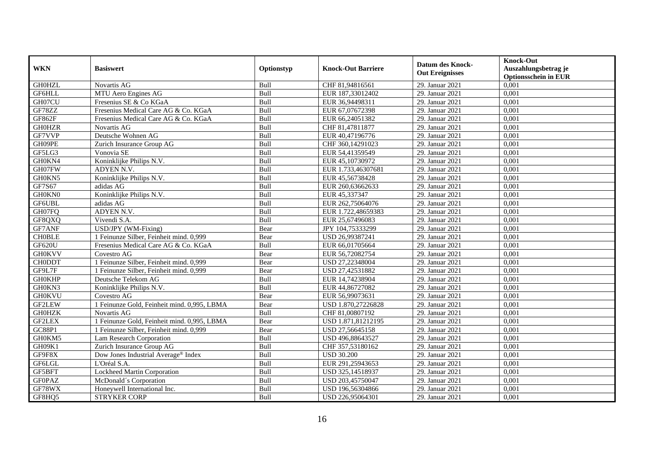|               |                                             |            |                           | <b>Datum des Knock-</b><br><b>Out Ereignisses</b> | <b>Knock-Out</b>            |
|---------------|---------------------------------------------|------------|---------------------------|---------------------------------------------------|-----------------------------|
| <b>WKN</b>    | <b>Basiswert</b>                            | Optionstyp | <b>Knock-Out Barriere</b> |                                                   | Auszahlungsbetrag je        |
|               |                                             |            |                           |                                                   | <b>Optionsschein in EUR</b> |
| <b>GH0HZL</b> | Novartis AG                                 | Bull       | CHF 81,94816561           | 29. Januar 2021                                   | 0,001                       |
| GF6HLL        | MTU Aero Engines AG                         | Bull       | EUR 187,33012402          | 29. Januar 2021                                   | 0,001                       |
| GH07CU        | Fresenius SE & Co KGaA                      | Bull       | EUR 36,94498311           | 29. Januar 2021                                   | 0,001                       |
| GF78ZZ        | Fresenius Medical Care AG & Co. KGaA        | Bull       | EUR 67,07672398           | 29. Januar 2021                                   | 0,001                       |
| GF862F        | Fresenius Medical Care AG & Co. KGaA        | Bull       | EUR 66,24051382           | 29. Januar 2021                                   | 0,001                       |
| <b>GH0HZR</b> | Novartis AG                                 | Bull       | CHF 81,47811877           | 29. Januar 2021                                   | 0,001                       |
| GF7VVP        | Deutsche Wohnen AG                          | Bull       | EUR 40,47196776           | 29. Januar 2021                                   | 0.001                       |
| GH09PE        | Zurich Insurance Group AG                   | Bull       | CHF 360,14291023          | 29. Januar 2021                                   | 0,001                       |
| GF5LG3        | Vonovia SE                                  | Bull       | EUR 54,41359549           | 29. Januar 2021                                   | 0,001                       |
| GH0KN4        | Koninklijke Philips N.V.                    | Bull       | EUR 45,10730972           | 29. Januar 2021                                   | 0,001                       |
| GH07FW        | ADYEN N.V.                                  | Bull       | EUR 1.733,46307681        | 29. Januar 2021                                   | 0,001                       |
| GH0KN5        | Koninklijke Philips N.V.                    | Bull       | EUR 45,56738428           | 29. Januar 2021                                   | 0,001                       |
| GF7S67        | adidas AG                                   | Bull       | EUR 260,63662633          | 29. Januar 2021                                   | 0,001                       |
| GH0KN0        | Koninklijke Philips N.V.                    | Bull       | EUR 45,337347             | 29. Januar 2021                                   | 0.001                       |
| GF6UBL        | adidas AG                                   | Bull       | EUR 262,75064076          | 29. Januar 2021                                   | 0,001                       |
| GH07FQ        | ADYEN N.V.                                  | Bull       | EUR 1.722,48659383        | 29. Januar 2021                                   | 0,001                       |
| GF8QXQ        | Vivendi S.A.                                | Bull       | EUR 25,67496083           | 29. Januar 2021                                   | 0,001                       |
| GF7ANF        | USD/JPY (WM-Fixing)                         | Bear       | JPY 104,75333299          | 29. Januar 2021                                   | 0,001                       |
| <b>CHOBLE</b> | 1 Feinunze Silber, Feinheit mind. 0,999     | Bear       | USD 26,99387241           | 29. Januar 2021                                   | 0,001                       |
| <b>GF620U</b> | Fresenius Medical Care AG & Co. KGaA        | Bull       | EUR 66,01705664           | 29. Januar 2021                                   | 0,001                       |
| <b>GH0KVV</b> | Covestro AG                                 | Bear       | EUR 56,72082754           | 29. Januar 2021                                   | 0,001                       |
| <b>CHODDT</b> | 1 Feinunze Silber, Feinheit mind. 0,999     | Bear       | USD 27,22348004           | 29. Januar 2021                                   | 0,001                       |
| GF9L7F        | 1 Feinunze Silber, Feinheit mind. 0,999     | Bear       | USD 27,42531882           | 29. Januar 2021                                   | 0,001                       |
| <b>GH0KHP</b> | Deutsche Telekom AG                         | Bull       | EUR 14,74238904           | 29. Januar 2021                                   | 0,001                       |
| GH0KN3        | Koninklijke Philips N.V.                    | Bull       | EUR 44,86727082           | 29. Januar 2021                                   | 0,001                       |
| <b>GH0KVU</b> | Covestro AG                                 | Bear       | EUR 56,99073631           | 29. Januar 2021                                   | 0,001                       |
| GF2LEW        | 1 Feinunze Gold, Feinheit mind. 0,995, LBMA | Bear       | USD 1.870,27226828        | 29. Januar 2021                                   | 0,001                       |
| <b>GH0HZK</b> | Novartis AG                                 | Bull       | CHF 81,00807192           | 29. Januar 2021                                   | 0,001                       |
| <b>GF2LEX</b> | 1 Feinunze Gold, Feinheit mind. 0,995, LBMA | Bear       | USD 1.871,81212195        | 29. Januar 2021                                   | 0,001                       |
| GC88P1        | 1 Feinunze Silber, Feinheit mind. 0,999     | Bear       | USD 27,56645158           | 29. Januar 2021                                   | 0,001                       |
| GH0KM5        | <b>Lam Research Corporation</b>             | Bull       | USD 496,88643527          | 29. Januar 2021                                   | 0,001                       |
| GH09K1        | Zurich Insurance Group AG                   | Bull       | CHF 357,53180162          | 29. Januar 2021                                   | 0,001                       |
| GF9F8X        | Dow Jones Industrial Average® Index         | Bull       | <b>USD 30.200</b>         | 29. Januar 2021                                   | 0,001                       |
| GF6LGL        | L'Oréal S.A.                                | Bull       | EUR 291,25943653          | 29. Januar 2021                                   | 0,001                       |
| GF5BFT        | Lockheed Martin Corporation                 | Bull       | USD 325,14518937          | 29. Januar 2021                                   | 0,001                       |
| <b>GFOPAZ</b> | McDonald's Corporation                      | Bull       | USD 203,45750047          | 29. Januar 2021                                   | 0,001                       |
| GF78WX        | Honeywell International Inc.                | Bull       | USD 196,56304866          | 29. Januar 2021                                   | 0,001                       |
| GF8HQ5        | <b>STRYKER CORP</b>                         | Bull       | USD 226,95064301          | 29. Januar 2021                                   | 0,001                       |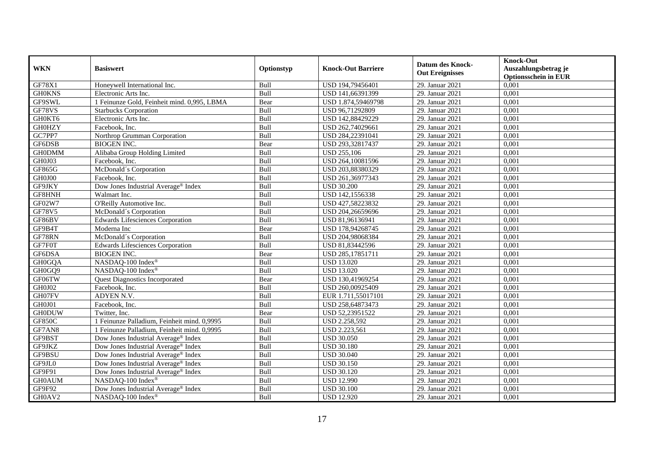|               | <b>Basiswert</b>                                |            |                           | <b>Datum des Knock-</b><br><b>Out Ereignisses</b> | <b>Knock-Out</b>                                    |
|---------------|-------------------------------------------------|------------|---------------------------|---------------------------------------------------|-----------------------------------------------------|
| <b>WKN</b>    |                                                 | Optionstyp | <b>Knock-Out Barriere</b> |                                                   | Auszahlungsbetrag je<br><b>Optionsschein in EUR</b> |
| GF78X1        | Honeywell International Inc.                    | Bull       | USD 194,79456401          | 29. Januar 2021                                   | 0,001                                               |
| <b>GH0KNS</b> | Electronic Arts Inc.                            | Bull       | USD 141,66391399          | 29. Januar 2021                                   | 0,001                                               |
| GF9SWL        | 1 Feinunze Gold, Feinheit mind. 0,995, LBMA     | Bear       | USD 1.874,59469798        | 29. Januar 2021                                   | 0,001                                               |
| GF78VS        | <b>Starbucks Corporation</b>                    | Bull       | USD 96,71292809           | 29. Januar 2021                                   | 0,001                                               |
| GH0KT6        | Electronic Arts Inc.                            | Bull       | USD 142,88429229          | 29. Januar 2021                                   | 0,001                                               |
| <b>GH0HZY</b> | Facebook. Inc.                                  | Bull       | USD 262,74029661          | 29. Januar 2021                                   | 0,001                                               |
| GC7PP7        | Northrop Grumman Corporation                    | Bull       | USD 284,22391041          | 29. Januar 2021                                   | 0.001                                               |
| GF6DSB        | <b>BIOGEN INC.</b>                              | Bear       | USD 293,32817437          | 29. Januar 2021                                   | 0,001                                               |
| <b>GH0DMM</b> | Alibaba Group Holding Limited                   | Bull       | <b>USD 255,106</b>        | 29. Januar 2021                                   | 0,001                                               |
| GH0J03        | Facebook. Inc.                                  | Bull       | USD 264,10081596          | 29. Januar 2021                                   | 0,001                                               |
| GF865G        | McDonald's Corporation                          | Bull       | USD 203,88380329          | 29. Januar 2021                                   | 0,001                                               |
| GH0J00        | Facebook, Inc.                                  | Bull       | USD 261,36977343          | 29. Januar 2021                                   | 0,001                                               |
| GF9JKY        | Dow Jones Industrial Average® Index             | Bull       | <b>USD 30.200</b>         | 29. Januar 2021                                   | 0,001                                               |
| GF8HNH        | Walmart Inc.                                    | Bull       | USD 142,1556338           | 29. Januar 2021                                   | 0.001                                               |
| GF02W7        | O'Reilly Automotive Inc.                        | Bull       | USD 427,58223832          | 29. Januar 2021                                   | 0,001                                               |
| <b>GF78V5</b> | McDonald's Corporation                          | Bull       | USD 204,26659696          | 29. Januar 2021                                   | 0,001                                               |
| GF86BV        | <b>Edwards Lifesciences Corporation</b>         | Bull       | USD 81,96136941           | 29. Januar 2021                                   | 0,001                                               |
| GF9B4T        | Moderna Inc                                     | Bear       | USD 178,94268745          | 29. Januar 2021                                   | 0,001                                               |
| GF78RN        | McDonald's Corporation                          | Bull       | USD 204,98068384          | 29. Januar 2021                                   | 0,001                                               |
| GF7F0T        | Edwards Lifesciences Corporation                | Bull       | USD 81,83442596           | 29. Januar 2021                                   | 0,001                                               |
| GF6DSA        | <b>BIOGEN INC.</b>                              | Bear       | USD 285,17851711          | 29. Januar 2021                                   | 0,001                                               |
| GH0GQA        | NASDAQ-100 Index®                               | Bull       | <b>USD 13.020</b>         | 29. Januar 2021                                   | 0,001                                               |
| GH0GQ9        | NASDAQ-100 Index®                               | Bull       | <b>USD 13.020</b>         | 29. Januar 2021                                   | 0,001                                               |
| GF06TW        | <b>Quest Diagnostics Incorporated</b>           | Bear       | USD 130,41969254          | 29. Januar 2021                                   | 0,001                                               |
| GH0J02        | Facebook. Inc.                                  | Bull       | USD 260,00925409          | 29. Januar 2021                                   | 0,001                                               |
| GH07FV        | ADYEN N.V.                                      | Bull       | EUR 1.711,55017101        | 29. Januar 2021                                   | 0,001                                               |
| GH0J01        | Facebook, Inc.                                  | Bull       | USD 258,64873473          | 29. Januar 2021                                   | 0,001                                               |
| <b>GH0DUW</b> | Twitter, Inc.                                   | Bear       | USD 52,23951522           | 29. Januar 2021                                   | 0,001                                               |
| <b>GF850C</b> | 1 Feinunze Palladium, Feinheit mind. 0,9995     | Bull       | USD 2.258,592             | 29. Januar 2021                                   | 0,001                                               |
| GF7AN8        | 1 Feinunze Palladium, Feinheit mind. 0,9995     | Bull       | USD 2.223,561             | 29. Januar 2021                                   | 0,001                                               |
| GF9BST        | Dow Jones Industrial Average® Index             | Bull       | <b>USD 30.050</b>         | 29. Januar 2021                                   | 0,001                                               |
| GF9JKZ        | Dow Jones Industrial Average® Index             | Bull       | <b>USD 30.180</b>         | 29. Januar 2021                                   | 0,001                                               |
| GF9BSU        | Dow Jones Industrial Average® Index             | Bull       | <b>USD 30.040</b>         | 29. Januar 2021                                   | 0,001                                               |
| GF9JL0        | Dow Jones Industrial Average® Index             | Bull       | <b>USD 30.150</b>         | 29. Januar 2021                                   | 0,001                                               |
| GF9F91        | Dow Jones Industrial Average® Index             | Bull       | <b>USD 30.120</b>         | 29. Januar 2021                                   | 0,001                                               |
| <b>GH0AUM</b> | NASDAQ-100 Index®                               | Bull       | <b>USD 12.990</b>         | 29. Januar 2021                                   | 0,001                                               |
| GF9F92        | Dow Jones Industrial Average <sup>®</sup> Index | Bull       | <b>USD 30.100</b>         | 29. Januar 2021                                   | 0,001                                               |
| GH0AV2        | NASDAQ-100 Index®                               | Bull       | <b>USD 12.920</b>         | 29. Januar 2021                                   | 0,001                                               |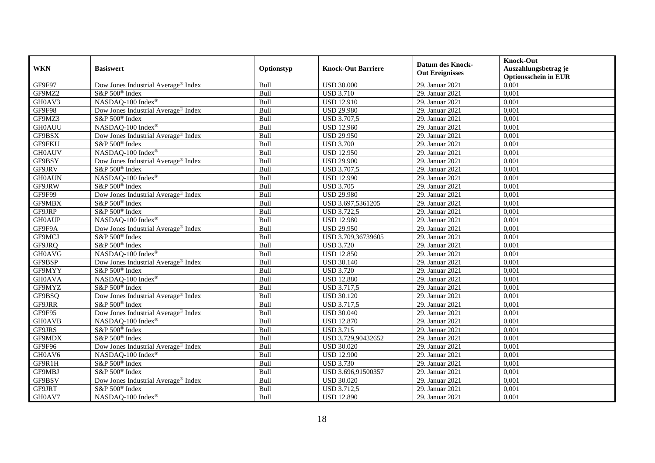|               | <b>Basiswert</b>                                | Optionstyp | <b>Knock-Out Barriere</b> | <b>Datum des Knock-</b><br><b>Out Ereignisses</b> | <b>Knock-Out</b>                                    |
|---------------|-------------------------------------------------|------------|---------------------------|---------------------------------------------------|-----------------------------------------------------|
| <b>WKN</b>    |                                                 |            |                           |                                                   | Auszahlungsbetrag je<br><b>Optionsschein in EUR</b> |
| GF9F97        | Dow Jones Industrial Average® Index             | Bull       | <b>USD 30.000</b>         | 29. Januar 2021                                   | 0,001                                               |
| GF9MZ2        | S&P 500 <sup>®</sup> Index                      | Bull       | <b>USD 3.710</b>          | 29. Januar 2021                                   | 0,001                                               |
| GH0AV3        | NASDAQ-100 Index®                               | Bull       | <b>USD 12.910</b>         | 29. Januar 2021                                   | 0,001                                               |
| GF9F98        | Dow Jones Industrial Average <sup>®</sup> Index | Bull       | <b>USD 29.980</b>         | 29. Januar 2021                                   | 0,001                                               |
| GF9MZ3        | S&P 500 <sup>®</sup> Index                      | Bull       | <b>USD 3.707,5</b>        | 29. Januar 2021                                   | 0,001                                               |
| <b>GH0AUU</b> | NASDAQ-100 Index®                               | Bull       | <b>USD 12.960</b>         | 29. Januar 2021                                   | 0,001                                               |
| GF9BSX        | Dow Jones Industrial Average <sup>®</sup> Index | Bull       | <b>USD 29.950</b>         | 29. Januar 2021                                   | 0,001                                               |
| <b>GF9FKU</b> | S&P 500 <sup>®</sup> Index                      | Bull       | <b>USD 3.700</b>          | 29. Januar 2021                                   | 0,001                                               |
| <b>GH0AUV</b> | NASDAQ-100 Index®                               | Bull       | <b>USD 12.950</b>         | 29. Januar 2021                                   | 0,001                                               |
| GF9BSY        | Dow Jones Industrial Average® Index             | Bull       | <b>USD 29.900</b>         | 29. Januar 2021                                   | 0,001                                               |
| GF9JRV        | S&P 500 <sup>®</sup> Index                      | Bull       | <b>USD 3.707,5</b>        | 29. Januar 2021                                   | 0,001                                               |
| <b>GH0AUN</b> | NASDAQ-100 Index®                               | Bull       | <b>USD 12.990</b>         | 29. Januar 2021                                   | 0,001                                               |
| GF9JRW        | S&P 500 <sup>®</sup> Index                      | Bull       | <b>USD 3.705</b>          | 29. Januar 2021                                   | 0,001                                               |
| GF9F99        | Dow Jones Industrial Average® Index             | Bull       | <b>USD 29.980</b>         | 29. Januar 2021                                   | 0,001                                               |
| GF9MBX        | S&P 500 <sup>®</sup> Index                      | Bull       | USD 3.697,5361205         | 29. Januar 2021                                   | 0,001                                               |
| GF9JRP        | S&P 500 <sup>®</sup> Index                      | Bull       | <b>USD 3.722,5</b>        | 29. Januar 2021                                   | 0,001                                               |
| <b>GH0AUP</b> | NASDAQ-100 Index®                               | Bull       | <b>USD 12.980</b>         | 29. Januar 2021                                   | 0,001                                               |
| GF9F9A        | Dow Jones Industrial Average <sup>®</sup> Index | Bull       | <b>USD 29.950</b>         | 29. Januar 2021                                   | 0,001                                               |
| GF9MCJ        | S&P 500 <sup>®</sup> Index                      | Bull       | USD 3.709,36739605        | 29. Januar 2021                                   | 0,001                                               |
| GF9JRQ        | S&P 500 <sup>®</sup> Index                      | Bull       | <b>USD 3.720</b>          | 29. Januar 2021                                   | 0,001                                               |
| <b>GH0AVG</b> | NASDAQ-100 Index®                               | Bull       | <b>USD 12.850</b>         | 29. Januar 2021                                   | 0,001                                               |
| GF9BSP        | Dow Jones Industrial Average® Index             | Bull       | <b>USD 30.140</b>         | 29. Januar 2021                                   | 0,001                                               |
| GF9MYY        | S&P 500 <sup>®</sup> Index                      | Bull       | <b>USD 3.720</b>          | 29. Januar 2021                                   | 0,001                                               |
| <b>GH0AVA</b> | NASDAQ-100 Index®                               | Bull       | <b>USD 12.880</b>         | 29. Januar 2021                                   | 0,001                                               |
| GF9MYZ        | S&P 500 <sup>®</sup> Index                      | Bull       | <b>USD 3.717,5</b>        | 29. Januar 2021                                   | 0,001                                               |
| GF9BSQ        | Dow Jones Industrial Average <sup>®</sup> Index | Bull       | <b>USD 30.120</b>         | 29. Januar 2021                                   | 0,001                                               |
| GF9JRR        | S&P 500 <sup>®</sup> Index                      | Bull       | <b>USD 3.717.5</b>        | 29. Januar 2021                                   | 0,001                                               |
| GF9F95        | Dow Jones Industrial Average <sup>®</sup> Index | Bull       | <b>USD 30.040</b>         | 29. Januar 2021                                   | 0,001                                               |
| <b>GH0AVB</b> | NASDAQ-100 Index®                               | Bull       | <b>USD 12.870</b>         | 29. Januar 2021                                   | 0,001                                               |
| GF9JRS        | S&P 500 <sup>®</sup> Index                      | Bull       | <b>USD 3.715</b>          | 29. Januar 2021                                   | 0,001                                               |
| GF9MDX        | S&P 500 <sup>®</sup> Index                      | Bull       | USD 3.729,90432652        | 29. Januar 2021                                   | 0,001                                               |
| GF9F96        | Dow Jones Industrial Average® Index             | Bull       | <b>USD 30.020</b>         | 29. Januar 2021                                   | 0,001                                               |
| GH0AV6        | NASDAQ-100 Index®                               | Bull       | <b>USD 12.900</b>         | 29. Januar 2021                                   | 0,001                                               |
| GF9R1H        | S&P 500 <sup>®</sup> Index                      | Bull       | <b>USD 3.730</b>          | 29. Januar 2021                                   | 0,001                                               |
| GF9MBJ        | S&P 500 <sup>®</sup> Index                      | Bull       | USD 3.696,91500357        | 29. Januar 2021                                   | 0,001                                               |
| GF9BSV        | Dow Jones Industrial Average® Index             | Bull       | <b>USD 30.020</b>         | 29. Januar 2021                                   | 0,001                                               |
| GF9JRT        | S&P 500 <sup>®</sup> Index                      | Bull       | <b>USD 3.712,5</b>        | 29. Januar 2021                                   | 0,001                                               |
| GH0AV7        | NASDAQ-100 Index®                               | Bull       | <b>USD 12.890</b>         | 29. Januar 2021                                   | 0,001                                               |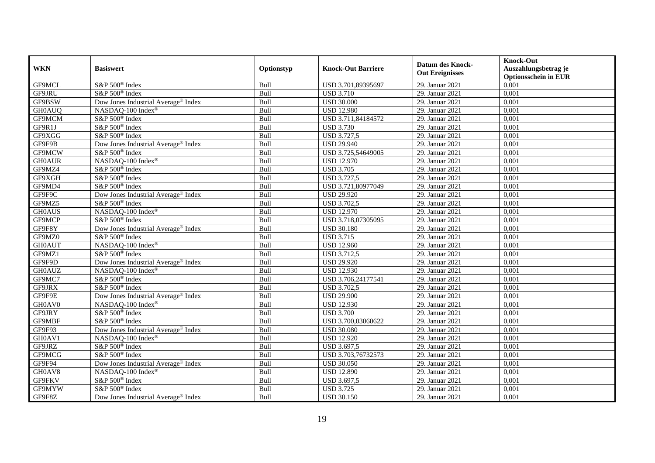|               | <b>Basiswert</b>                                |            |                           | <b>Datum des Knock-</b><br><b>Out Ereignisses</b> | <b>Knock-Out</b>                                    |
|---------------|-------------------------------------------------|------------|---------------------------|---------------------------------------------------|-----------------------------------------------------|
| <b>WKN</b>    |                                                 | Optionstyp | <b>Knock-Out Barriere</b> |                                                   | Auszahlungsbetrag je<br><b>Optionsschein in EUR</b> |
| GF9MCL        | S&P 500 <sup>®</sup> Index                      | Bull       | USD 3.701,89395697        | 29. Januar 2021                                   | 0,001                                               |
| GF9JRU        | S&P 500 <sup>®</sup> Index                      | Bull       | <b>USD 3.710</b>          | 29. Januar 2021                                   | 0,001                                               |
| GF9BSW        | Dow Jones Industrial Average® Index             | Bull       | <b>USD 30.000</b>         | 29. Januar 2021                                   | 0,001                                               |
| <b>GH0AUQ</b> | NASDAQ-100 Index®                               | Bull       | <b>USD 12.980</b>         | 29. Januar 2021                                   | 0,001                                               |
| GF9MCM        | S&P 500 <sup>®</sup> Index                      | Bull       | USD 3.711,84184572        | 29. Januar 2021                                   | 0,001                                               |
| GF9R1J        | S&P 500 <sup>®</sup> Index                      | Bull       | <b>USD 3.730</b>          | 29. Januar 2021                                   | 0,001                                               |
| GF9XGG        | S&P 500 <sup>®</sup> Index                      | Bull       | <b>USD 3.727,5</b>        | 29. Januar 2021                                   | 0.001                                               |
| GF9F9B        | Dow Jones Industrial Average® Index             | Bull       | <b>USD 29.940</b>         | 29. Januar 2021                                   | 0,001                                               |
| GF9MCW        | S&P 500 <sup>®</sup> Index                      | Bull       | USD 3.725,54649005        | 29. Januar 2021                                   | 0,001                                               |
| <b>GH0AUR</b> | NASDAQ-100 Index®                               | Bull       | <b>USD 12.970</b>         | 29. Januar 2021                                   | 0,001                                               |
| GF9MZ4        | S&P 500 <sup>®</sup> Index                      | Bull       | <b>USD 3.705</b>          | 29. Januar 2021                                   | 0,001                                               |
| GF9XGH        | S&P 500 <sup>®</sup> Index                      | Bull       | <b>USD 3.727,5</b>        | 29. Januar 2021                                   | 0,001                                               |
| GF9MD4        | S&P 500 <sup>®</sup> Index                      | Bull       | USD 3.721,80977049        | 29. Januar 2021                                   | 0,001                                               |
| GF9F9C        | Dow Jones Industrial Average <sup>®</sup> Index | Bull       | <b>USD 29.920</b>         | 29. Januar 2021                                   | 0.001                                               |
| GF9MZ5        | S&P 500 <sup>®</sup> Index                      | Bull       | <b>USD 3.702,5</b>        | 29. Januar 2021                                   | 0,001                                               |
| <b>GH0AUS</b> | NASDAQ-100 Index®                               | Bull       | <b>USD 12.970</b>         | 29. Januar 2021                                   | 0,001                                               |
| GF9MCP        | S&P 500 <sup>®</sup> Index                      | Bull       | USD 3.718,07305095        | 29. Januar 2021                                   | 0,001                                               |
| GF9F8Y        | Dow Jones Industrial Average® Index             | Bull       | <b>USD 30.180</b>         | 29. Januar 2021                                   | 0,001                                               |
| GF9MZ0        | S&P 500 <sup>®</sup> Index                      | Bull       | <b>USD 3.715</b>          | 29. Januar 2021                                   | 0,001                                               |
| <b>GH0AUT</b> | NASDAQ-100 Index®                               | Bull       | <b>USD 12.960</b>         | 29. Januar 2021                                   | 0,001                                               |
| GF9MZ1        | S&P 500 <sup>®</sup> Index                      | Bull       | <b>USD 3.712,5</b>        | 29. Januar 2021                                   | 0,001                                               |
| GF9F9D        | Dow Jones Industrial Average® Index             | Bull       | <b>USD 29.920</b>         | 29. Januar 2021                                   | 0,001                                               |
| <b>GH0AUZ</b> | NASDAQ-100 Index®                               | Bull       | <b>USD 12.930</b>         | 29. Januar 2021                                   | 0,001                                               |
| GF9MC7        | S&P 500 <sup>®</sup> Index                      | Bull       | USD 3.706,24177541        | 29. Januar 2021                                   | 0,001                                               |
| GF9JRX        | S&P 500 <sup>®</sup> Index                      | Bull       | <b>USD 3.702,5</b>        | 29. Januar 2021                                   | 0,001                                               |
| GF9F9E        | Dow Jones Industrial Average® Index             | Bull       | <b>USD 29.900</b>         | 29. Januar 2021                                   | 0,001                                               |
| GH0AV0        | NASDAQ-100 Index®                               | Bull       | <b>USD 12.930</b>         | 29. Januar 2021                                   | 0,001                                               |
| GF9JRY        | S&P 500 <sup>®</sup> Index                      | Bull       | <b>USD 3.700</b>          | 29. Januar 2021                                   | 0,001                                               |
| GF9MBF        | S&P 500 <sup>®</sup> Index                      | Bull       | USD 3.700,03060622        | 29. Januar 2021                                   | 0,001                                               |
| GF9F93        | Dow Jones Industrial Average <sup>®</sup> Index | Bull       | <b>USD 30.080</b>         | 29. Januar 2021                                   | 0,001                                               |
| GH0AV1        | NASDAQ-100 Index®                               | Bull       | <b>USD 12.920</b>         | 29. Januar 2021                                   | 0,001                                               |
| GF9JRZ        | S&P 500 <sup>®</sup> Index                      | Bull       | USD 3.697,5               | 29. Januar 2021                                   | 0,001                                               |
| GF9MCG        | S&P 500 <sup>®</sup> Index                      | Bull       | USD 3.703,76732573        | 29. Januar 2021                                   | 0,001                                               |
| GF9F94        | Dow Jones Industrial Average® Index             | Bull       | <b>USD 30.050</b>         | 29. Januar 2021                                   | 0,001                                               |
| GH0AV8        | NASDAQ-100 Index®                               | Bull       | <b>USD 12.890</b>         | 29. Januar 2021                                   | 0,001                                               |
| GF9FKV        | S&P 500 <sup>®</sup> Index                      | Bull       | USD 3.697,5               | 29. Januar 2021                                   | 0,001                                               |
| GF9MYW        | S&P 500 <sup>®</sup> Index                      | Bull       | <b>USD 3.725</b>          | 29. Januar 2021                                   | 0,001                                               |
| GF9F8Z        | Dow Jones Industrial Average® Index             | Bull       | <b>USD 30.150</b>         | 29. Januar 2021                                   | 0,001                                               |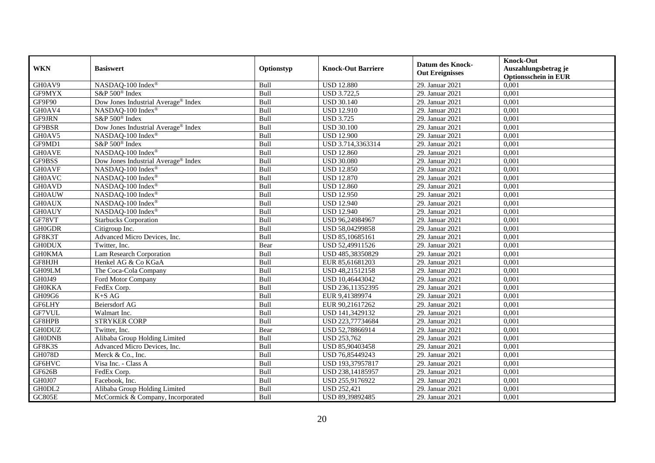| <b>WKN</b>    | <b>Basiswert</b>                                | Optionstyp | <b>Knock-Out Barriere</b> | <b>Datum des Knock-</b><br><b>Out Ereignisses</b> | <b>Knock-Out</b><br>Auszahlungsbetrag je<br><b>Optionsschein in EUR</b> |
|---------------|-------------------------------------------------|------------|---------------------------|---------------------------------------------------|-------------------------------------------------------------------------|
| GH0AV9        | NASDAQ-100 Index®                               | Bull       | <b>USD 12.880</b>         | 29. Januar 2021                                   | 0,001                                                                   |
| GF9MYX        | S&P 500 <sup>®</sup> Index                      | Bull       | <b>USD 3.722,5</b>        | 29. Januar 2021                                   | 0,001                                                                   |
| GF9F90        | Dow Jones Industrial Average® Index             | Bull       | <b>USD 30.140</b>         | 29. Januar 2021                                   | 0,001                                                                   |
| GH0AV4        | NASDAQ-100 Index®                               | Bull       | <b>USD 12.910</b>         | 29. Januar 2021                                   | 0,001                                                                   |
| GF9JRN        | S&P 500 <sup>®</sup> Index                      | Bull       | <b>USD 3.725</b>          | 29. Januar 2021                                   | 0,001                                                                   |
| GF9BSR        | Dow Jones Industrial Average <sup>®</sup> Index | Bull       | <b>USD 30.100</b>         | 29. Januar 2021                                   | 0,001                                                                   |
| GH0AV5        | NASDAQ-100 Index®                               | Bull       | <b>USD 12.900</b>         | 29. Januar 2021                                   | 0,001                                                                   |
| GF9MD1        | S&P 500 <sup>®</sup> Index                      | Bull       | USD 3.714,3363314         | 29. Januar 2021                                   | 0,001                                                                   |
| <b>GH0AVE</b> | NASDAQ-100 Index®                               | Bull       | <b>USD 12.860</b>         | 29. Januar 2021                                   | 0,001                                                                   |
| GF9BSS        | Dow Jones Industrial Average® Index             | Bull       | <b>USD 30.080</b>         | 29. Januar 2021                                   | 0,001                                                                   |
| <b>GH0AVF</b> | NASDAQ-100 Index®                               | Bull       | <b>USD 12.850</b>         | 29. Januar 2021                                   | 0,001                                                                   |
| <b>GH0AVC</b> | NASDAQ-100 Index®                               | Bull       | <b>USD 12.870</b>         | 29. Januar 2021                                   | 0,001                                                                   |
| <b>GH0AVD</b> | NASDAQ-100 Index®                               | Bull       | <b>USD 12.860</b>         | 29. Januar 2021                                   | 0,001                                                                   |
| <b>GH0AUW</b> | NASDAQ-100 Index®                               | Bull       | <b>USD 12.950</b>         | 29. Januar 2021                                   | 0,001                                                                   |
| <b>GH0AUX</b> | NASDAQ-100 Index®                               | Bull       | <b>USD 12.940</b>         | 29. Januar 2021                                   | 0,001                                                                   |
| <b>GH0AUY</b> | NASDAQ-100 Index®                               | Bull       | <b>USD 12.940</b>         | 29. Januar 2021                                   | 0,001                                                                   |
| GF78VT        | <b>Starbucks Corporation</b>                    | Bull       | USD 96,24984967           | 29. Januar 2021                                   | 0,001                                                                   |
| <b>GH0GDR</b> | Citigroup Inc.                                  | Bull       | USD 58,04299858           | 29. Januar 2021                                   | 0,001                                                                   |
| GF8K3T        | Advanced Micro Devices, Inc.                    | Bull       | USD 85,10685161           | 29. Januar 2021                                   | 0,001                                                                   |
| <b>GH0DUX</b> | Twitter, Inc.                                   | Bear       | USD 52,49911526           | 29. Januar 2021                                   | 0,001                                                                   |
| <b>GH0KMA</b> | Lam Research Corporation                        | Bull       | USD 485,38350829          | 29. Januar 2021                                   | 0,001                                                                   |
| GF8HJH        | Henkel AG & Co KGaA                             | Bull       | EUR 85,61681203           | 29. Januar 2021                                   | 0,001                                                                   |
| GH09LM        | The Coca-Cola Company                           | Bull       | USD 48,21512158           | 29. Januar 2021                                   | 0,001                                                                   |
| GH0J49        | Ford Motor Company                              | Bull       | USD 10,46443042           | 29. Januar 2021                                   | 0,001                                                                   |
| <b>GH0KKA</b> | FedEx Corp.                                     | Bull       | USD 236,11352395          | 29. Januar 2021                                   | 0,001                                                                   |
| GH09G6        | $K+SAG$                                         | Bull       | EUR 9,41389974            | 29. Januar 2021                                   | 0,001                                                                   |
| GF6LHY        | Beiersdorf AG                                   | Bull       | EUR 90,21617262           | 29. Januar 2021                                   | 0,001                                                                   |
| GF7VUL        | Walmart Inc.                                    | Bull       | USD 141,3429132           | 29. Januar 2021                                   | 0,001                                                                   |
| GF8HPB        | <b>STRYKER CORP</b>                             | Bull       | USD 223,77734684          | 29. Januar 2021                                   | 0,001                                                                   |
| <b>GH0DUZ</b> | Twitter, Inc.                                   | Bear       | USD 52,78866914           | 29. Januar 2021                                   | 0,001                                                                   |
| <b>GH0DNB</b> | Alibaba Group Holding Limited                   | Bull       | <b>USD 253,762</b>        | 29. Januar 2021                                   | 0,001                                                                   |
| GF8K3S        | Advanced Micro Devices, Inc.                    | Bull       | USD 85,90403458           | 29. Januar 2021                                   | 0,001                                                                   |
| <b>GH078D</b> | Merck & Co., Inc.                               | Bull       | USD 76,85449243           | 29. Januar 2021                                   | 0,001                                                                   |
| GF6HVC        | Visa Inc. - Class A                             | Bull       | USD 193,37957817          | 29. Januar 2021                                   | 0,001                                                                   |
| GF626B        | FedEx Corp.                                     | Bull       | USD 238,14185957          | 29. Januar 2021                                   | 0,001                                                                   |
| GH0J07        | Facebook, Inc.                                  | Bull       | USD 255,9176922           | 29. Januar 2021                                   | 0,001                                                                   |
| GH0DL2        | Alibaba Group Holding Limited                   | Bull       | <b>USD 252,421</b>        | 29. Januar 2021                                   | 0,001                                                                   |
| GC805E        | McCormick & Company, Incorporated               | Bull       | USD 89,39892485           | 29. Januar 2021                                   | 0,001                                                                   |